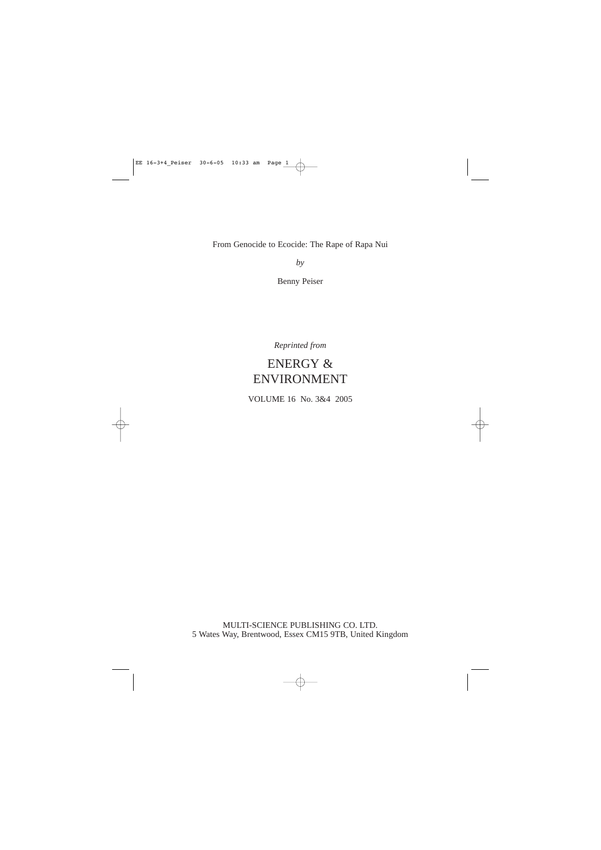From Genocide to Ecocide: The Rape of Rapa Nui

*by*

Benny Peiser

*Reprinted from*

# ENERGY & ENVIRONMENT

VOLUME 16 No. 3&4 2005

MULTI-SCIENCE PUBLISHING CO. LTD. 5 Wates Way, Brentwood, Essex CM15 9TB, United Kingdom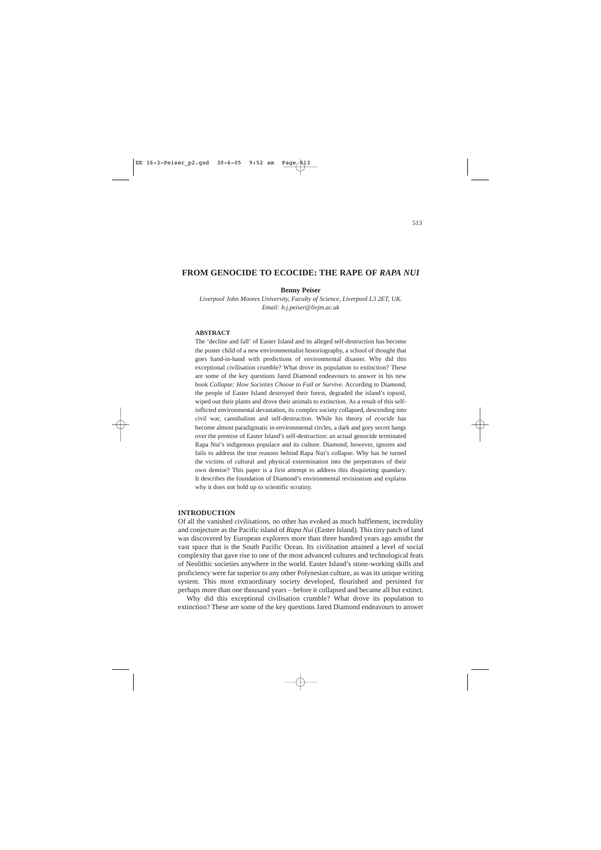# **FROM GENOCIDE TO ECOCIDE: THE RAPE OF** *RAPA NUI*

# **Benny Peiser**

*Liverpool John Moores University, Faculty of Science, Liverpool L3 2ET, UK. Email: b.j.peiser@livjm.ac.uk*

# **ABSTRACT**

The 'decline and fall' of Easter Island and its alleged self-destruction has become the poster child of a new environmentalist historiography, a school of thought that goes hand-in-hand with predictions of environmental disaster. Why did this exceptional civilisation crumble? What drove its population to extinction? These are some of the key questions Jared Diamond endeavours to answer in his new book *Collapse: How Societies Choose to Fail or Survive*. According to Diamond, the people of Easter Island destroyed their forest, degraded the island's topsoil, wiped out their plants and drove their animals to extinction. As a result of this selfinflicted environmental devastation, its complex society collapsed, descending into civil war, cannibalism and self-destruction. While his theory of *ecocide* has become almost paradigmatic in environmental circles, a dark and gory secret hangs over the premise of Easter Island's self-destruction: an actual genocide terminated Rapa Nui's indigenous populace and its culture. Diamond, however, ignores and fails to address the true reasons behind Rapa Nui's collapse. Why has he turned the victims of cultural and physical extermination into the perpetrators of their own demise? This paper is a first attempt to address this disquieting quandary. It describes the foundation of Diamond's environmental revisionism and explains why it does not hold up to scientific scrutiny.

#### **INTRODUCTION**

Of all the vanished civilisations, no other has evoked as much bafflement, incredulity and conjecture as the Pacific island of *Rapa Nui* (Easter Island). This tiny patch of land was discovered by European explorers more than three hundred years ago amidst the vast space that is the South Pacific Ocean. Its civilisation attained a level of social complexity that gave rise to one of the most advanced cultures and technological feats of Neolithic societies anywhere in the world. Easter Island's stone-working skills and proficiency were far superior to any other Polynesian culture, as was its unique writing system. This most extraordinary society developed, flourished and persisted for perhaps more than one thousand years – before it collapsed and became all but extinct.

Why did this exceptional civilisation crumble? What drove its population to extinction? These are some of the key questions Jared Diamond endeavours to answer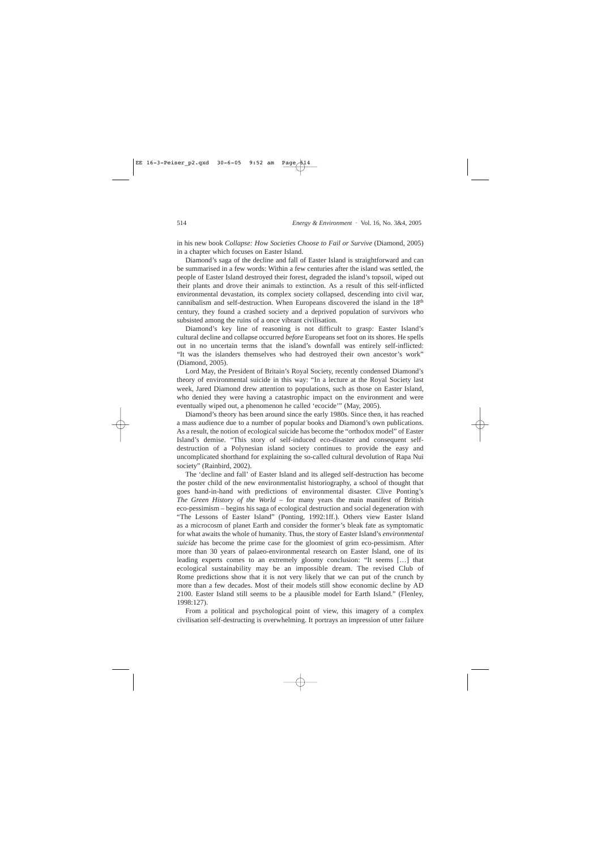in his new book *Collapse: How Societies Choose to Fail or Survive* (Diamond, 2005) in a chapter which focuses on Easter Island.

Diamond's saga of the decline and fall of Easter Island is straightforward and can be summarised in a few words: Within a few centuries after the island was settled, the people of Easter Island destroyed their forest, degraded the island's topsoil, wiped out their plants and drove their animals to extinction. As a result of this self-inflicted environmental devastation, its complex society collapsed, descending into civil war, cannibalism and self-destruction. When Europeans discovered the island in the  $18<sup>th</sup>$ century, they found a crashed society and a deprived population of survivors who subsisted among the ruins of a once vibrant civilisation.

Diamond's key line of reasoning is not difficult to grasp: Easter Island's cultural decline and collapse occurred *before* Europeans set foot on its shores. He spells out in no uncertain terms that the island's downfall was entirely self-inflicted: "It was the islanders themselves who had destroyed their own ancestor's work" (Diamond, 2005).

Lord May, the President of Britain's Royal Society, recently condensed Diamond's theory of environmental suicide in this way: "In a lecture at the Royal Society last week, Jared Diamond drew attention to populations, such as those on Easter Island, who denied they were having a catastrophic impact on the environment and were eventually wiped out, a phenomenon he called 'ecocide'" (May, 2005).

Diamond's theory has been around since the early 1980s. Since then, it has reached a mass audience due to a number of popular books and Diamond's own publications. As a result, the notion of ecological suicide has become the "orthodox model" of Easter Island's demise. "This story of self-induced eco-disaster and consequent selfdestruction of a Polynesian island society continues to provide the easy and uncomplicated shorthand for explaining the so-called cultural devolution of Rapa Nui society" (Rainbird, 2002).

The 'decline and fall' of Easter Island and its alleged self-destruction has become the poster child of the new environmentalist historiography, a school of thought that goes hand-in-hand with predictions of environmental disaster. Clive Ponting's *The Green History of the World* – for many years the main manifest of British eco-pessimism – begins his saga of ecological destruction and social degeneration with "The Lessons of Easter Island" (Ponting, 1992:1ff.). Others view Easter Island as a microcosm of planet Earth and consider the former's bleak fate as symptomatic for what awaits the whole of humanity. Thus, the story of Easter Island's *environmental suicide* has become the prime case for the gloomiest of grim eco-pessimism. After more than 30 years of palaeo-environmental research on Easter Island, one of its leading experts comes to an extremely gloomy conclusion: "It seems […] that ecological sustainability may be an impossible dream. The revised Club of Rome predictions show that it is not very likely that we can put of the crunch by more than a few decades. Most of their models still show economic decline by AD 2100. Easter Island still seems to be a plausible model for Earth Island." (Flenley, 1998:127).

From a political and psychological point of view, this imagery of a complex civilisation self-destructing is overwhelming. It portrays an impression of utter failure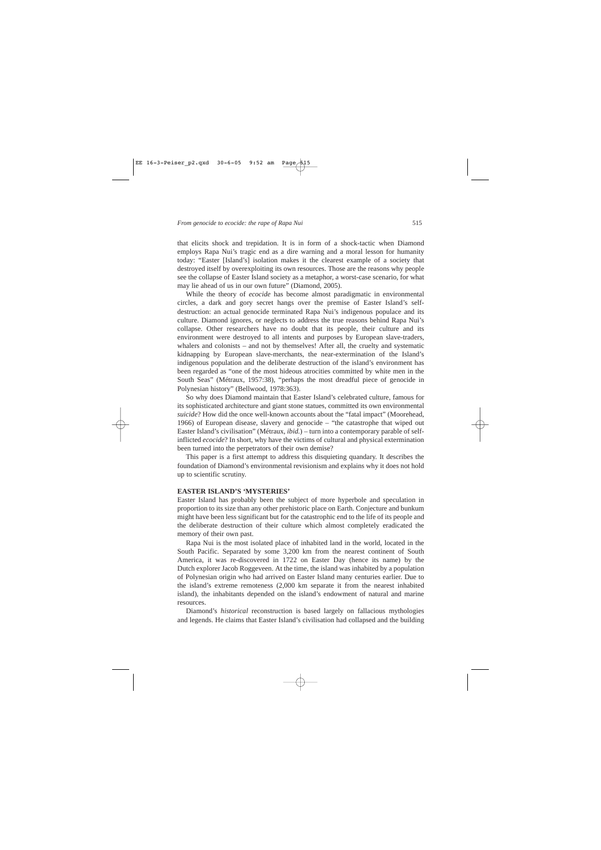that elicits shock and trepidation. It is in form of a shock-tactic when Diamond employs Rapa Nui's tragic end as a dire warning and a moral lesson for humanity today: "Easter [Island's] isolation makes it the clearest example of a society that destroyed itself by overexploiting its own resources. Those are the reasons why people see the collapse of Easter Island society as a metaphor, a worst-case scenario, for what may lie ahead of us in our own future" (Diamond, 2005).

While the theory of *ecocide* has become almost paradigmatic in environmental circles, a dark and gory secret hangs over the premise of Easter Island's selfdestruction: an actual genocide terminated Rapa Nui's indigenous populace and its culture. Diamond ignores, or neglects to address the true reasons behind Rapa Nui's collapse. Other researchers have no doubt that its people, their culture and its environment were destroyed to all intents and purposes by European slave-traders, whalers and colonists – and not by themselves! After all, the cruelty and systematic kidnapping by European slave-merchants, the near-extermination of the Island's indigenous population and the deliberate destruction of the island's environment has been regarded as "one of the most hideous atrocities committed by white men in the South Seas" (Métraux, 1957:38), "perhaps the most dreadful piece of genocide in Polynesian history" (Bellwood, 1978:363).

So why does Diamond maintain that Easter Island's celebrated culture, famous for its sophisticated architecture and giant stone statues, committed its own environmental *suicide*? How did the once well-known accounts about the "fatal impact" (Moorehead, 1966) of European disease, slavery and genocide – "the catastrophe that wiped out Easter Island's civilisation" (Métraux, *ibid.*) – turn into a contemporary parable of selfinflicted *ecocide*? In short, why have the victims of cultural and physical extermination been turned into the perpetrators of their own demise?

This paper is a first attempt to address this disquieting quandary. It describes the foundation of Diamond's environmental revisionism and explains why it does not hold up to scientific scrutiny.

#### **EASTER ISLAND'S 'MYSTERIES'**

Easter Island has probably been the subject of more hyperbole and speculation in proportion to its size than any other prehistoric place on Earth. Conjecture and bunkum might have been less significant but for the catastrophic end to the life of its people and the deliberate destruction of their culture which almost completely eradicated the memory of their own past.

Rapa Nui is the most isolated place of inhabited land in the world, located in the South Pacific. Separated by some 3,200 km from the nearest continent of South America, it was re-discovered in 1722 on Easter Day (hence its name) by the Dutch explorer Jacob Roggeveen. At the time, the island was inhabited by a population of Polynesian origin who had arrived on Easter Island many centuries earlier. Due to the island's extreme remoteness (2,000 km separate it from the nearest inhabited island), the inhabitants depended on the island's endowment of natural and marine resources.

Diamond's *historical* reconstruction is based largely on fallacious mythologies and legends. He claims that Easter Island's civilisation had collapsed and the building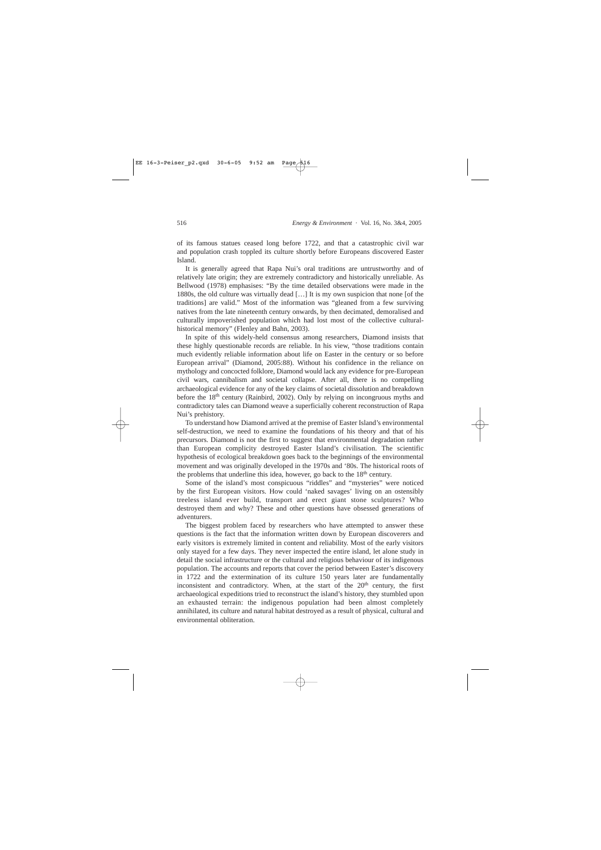of its famous statues ceased long before 1722, and that a catastrophic civil war and population crash toppled its culture shortly before Europeans discovered Easter Island.

It is generally agreed that Rapa Nui's oral traditions are untrustworthy and of relatively late origin; they are extremely contradictory and historically unreliable. As Bellwood (1978) emphasises: "By the time detailed observations were made in the 1880s, the old culture was virtually dead […] It is my own suspicion that none [of the traditions] are valid." Most of the information was "gleaned from a few surviving natives from the late nineteenth century onwards, by then decimated, demoralised and culturally impoverished population which had lost most of the collective culturalhistorical memory" (Flenley and Bahn, 2003).

In spite of this widely-held consensus among researchers, Diamond insists that these highly questionable records are reliable. In his view, "those traditions contain much evidently reliable information about life on Easter in the century or so before European arrival" (Diamond, 2005:88). Without his confidence in the reliance on mythology and concocted folklore, Diamond would lack any evidence for pre-European civil wars, cannibalism and societal collapse. After all, there is no compelling archaeological evidence for any of the key claims of societal dissolution and breakdown before the 18th century (Rainbird, 2002). Only by relying on incongruous myths and contradictory tales can Diamond weave a superficially coherent reconstruction of Rapa Nui's prehistory.

To understand how Diamond arrived at the premise of Easter Island's environmental self-destruction, we need to examine the foundations of his theory and that of his precursors. Diamond is not the first to suggest that environmental degradation rather than European complicity destroyed Easter Island's civilisation. The scientific hypothesis of ecological breakdown goes back to the beginnings of the environmental movement and was originally developed in the 1970s and '80s. The historical roots of the problems that underline this idea, however, go back to the  $18<sup>th</sup>$  century.

Some of the island's most conspicuous "riddles" and "mysteries" were noticed by the first European visitors. How could 'naked savages' living on an ostensibly treeless island ever build, transport and erect giant stone sculptures? Who destroyed them and why? These and other questions have obsessed generations of adventurers.

The biggest problem faced by researchers who have attempted to answer these questions is the fact that the information written down by European discoverers and early visitors is extremely limited in content and reliability. Most of the early visitors only stayed for a few days. They never inspected the entire island, let alone study in detail the social infrastructure or the cultural and religious behaviour of its indigenous population. The accounts and reports that cover the period between Easter's discovery in 1722 and the extermination of its culture 150 years later are fundamentally inconsistent and contradictory. When, at the start of the  $20<sup>th</sup>$  century, the first archaeological expeditions tried to reconstruct the island's history, they stumbled upon an exhausted terrain: the indigenous population had been almost completely annihilated, its culture and natural habitat destroyed as a result of physical, cultural and environmental obliteration.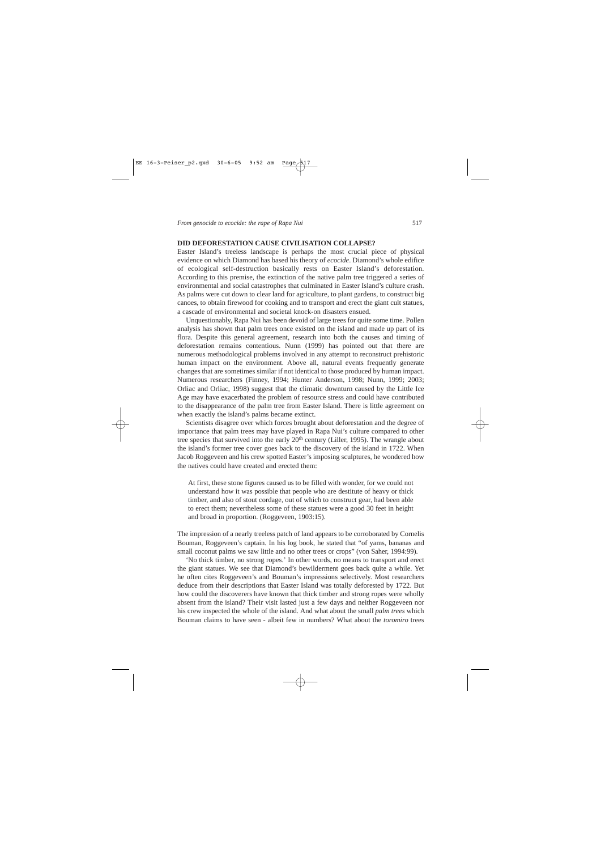#### **DID DEFORESTATION CAUSE CIVILISATION COLLAPSE?**

Easter Island's treeless landscape is perhaps the most crucial piece of physical evidence on which Diamond has based his theory of *ecocide*. Diamond's whole edifice of ecological self-destruction basically rests on Easter Island's deforestation. According to this premise, the extinction of the native palm tree triggered a series of environmental and social catastrophes that culminated in Easter Island's culture crash. As palms were cut down to clear land for agriculture, to plant gardens, to construct big canoes, to obtain firewood for cooking and to transport and erect the giant cult statues, a cascade of environmental and societal knock-on disasters ensued.

Unquestionably, Rapa Nui has been devoid of large trees for quite some time. Pollen analysis has shown that palm trees once existed on the island and made up part of its flora. Despite this general agreement, research into both the causes and timing of deforestation remains contentious. Nunn (1999) has pointed out that there are numerous methodological problems involved in any attempt to reconstruct prehistoric human impact on the environment. Above all, natural events frequently generate changes that are sometimes similar if not identical to those produced by human impact. Numerous researchers (Finney, 1994; Hunter Anderson, 1998; Nunn, 1999; 2003; Orliac and Orliac, 1998) suggest that the climatic downturn caused by the Little Ice Age may have exacerbated the problem of resource stress and could have contributed to the disappearance of the palm tree from Easter Island. There is little agreement on when exactly the island's palms became extinct.

Scientists disagree over which forces brought about deforestation and the degree of importance that palm trees may have played in Rapa Nui's culture compared to other tree species that survived into the early  $20<sup>th</sup>$  century (Liller, 1995). The wrangle about the island's former tree cover goes back to the discovery of the island in 1722. When Jacob Roggeveen and his crew spotted Easter's imposing sculptures, he wondered how the natives could have created and erected them:

At first, these stone figures caused us to be filled with wonder, for we could not understand how it was possible that people who are destitute of heavy or thick timber, and also of stout cordage, out of which to construct gear, had been able to erect them; nevertheless some of these statues were a good 30 feet in height and broad in proportion. (Roggeveen, 1903:15).

The impression of a nearly treeless patch of land appears to be corroborated by Cornelis Bouman, Roggeveen's captain. In his log book, he stated that "of yams, bananas and small coconut palms we saw little and no other trees or crops" (von Saher, 1994:99).

'No thick timber, no strong ropes.' In other words, no means to transport and erect the giant statues. We see that Diamond's bewilderment goes back quite a while. Yet he often cites Roggeveen's and Bouman's impressions selectively. Most researchers deduce from their descriptions that Easter Island was totally deforested by 1722. But how could the discoverers have known that thick timber and strong ropes were wholly absent from the island? Their visit lasted just a few days and neither Roggeveen nor his crew inspected the whole of the island. And what about the small *palm trees* which Bouman claims to have seen - albeit few in numbers? What about the *toromiro* trees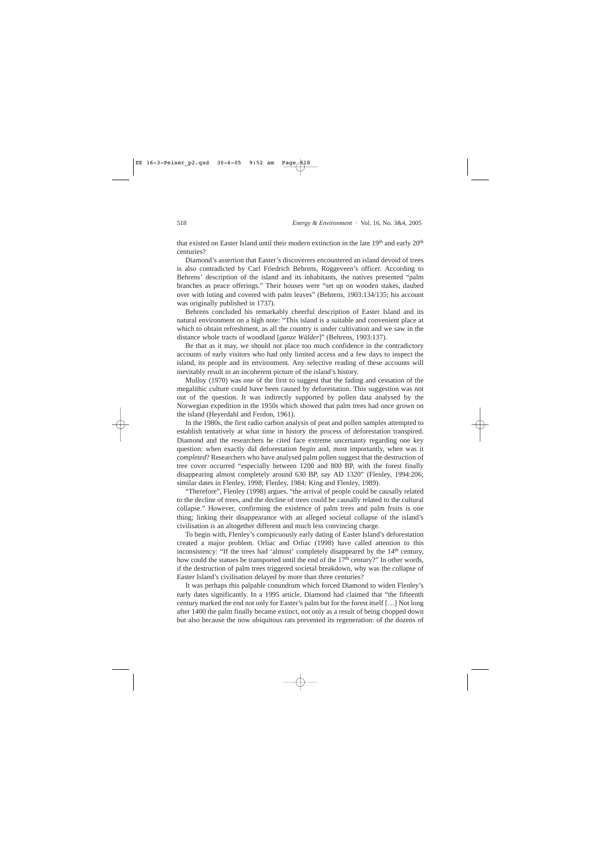that existed on Easter Island until their modern extinction in the late 19<sup>th</sup> and early 20<sup>th</sup> centuries?

Diamond's assertion that Easter's discoverers encountered an island devoid of trees is also contradicted by Carl Friedrich Behrens, Roggeveen's officer. According to Behrens' description of the island and its inhabitants, the natives presented "palm branches as peace offerings." Their houses were "set up on wooden stakes, daubed over with luting and covered with palm leaves" (Behrens, 1903:134/135; his account was originally published in 1737).

Behrens concluded his remarkably cheerful description of Easter Island and its natural environment on a high note: "This island is a suitable and convenient place at which to obtain refreshment, as all the country is under cultivation and we saw in the distance whole tracts of woodland [*ganze Wälder*]" (Behrens, 1903:137).

Be that as it may, we should not place too much confidence in the contradictory accounts of early visitors who had only limited access and a few days to inspect the island, its people and its environment. Any selective reading of these accounts will inevitably result in an incoherent picture of the island's history.

Mulloy (1970) was one of the first to suggest that the fading and cessation of the megalithic culture could have been caused by deforestation. This suggestion was not out of the question. It was indirectly supported by pollen data analysed by the Norwegian expedition in the 1950s which showed that palm trees had once grown on the island (Heyerdahl and Ferdon, 1961).

In the 1980s, the first radio carbon analysis of peat and pollen samples attempted to establish tentatively at what time in history the process of deforestation transpired. Diamond and the researchers he cited face extreme uncertainty regarding one key question: when exactly did deforestation *begin* and, most importantly, when was it *completed*? Researchers who have analysed palm pollen suggest that the destruction of tree cover occurred "especially between 1200 and 800 BP, with the forest finally disappearing almost completely around 630 BP, say AD 1320" (Flenley, 1994:206; similar dates in Flenley, 1998; Flenley, 1984; King and Flenley, 1989).

"Therefore", Flenley (1998) argues, "the arrival of people could be causally related to the decline of trees, and the decline of trees could be causally related to the cultural collapse." However, confirming the existence of palm trees and palm fruits is one thing; linking their disappearance with an alleged societal collapse of the island's civilisation is an altogether different and much less convincing charge.

To begin with, Flenley's conspicuously early dating of Easter Island's deforestation created a major problem. Orliac and Orliac (1998) have called attention to this inconsistency: "If the trees had 'almost' completely disappeared by the 14<sup>th</sup> century, how could the statues be transported until the end of the  $17<sup>th</sup>$  century?" In other words, if the destruction of palm trees triggered societal breakdown, why was the collapse of Easter Island's civilisation delayed by more than three centuries?

It was perhaps this palpable conundrum which forced Diamond to widen Flenley's early dates significantly. In a 1995 article, Diamond had claimed that "the fifteenth century marked the end not only for Easter's palm but for the forest itself […] Not long after 1400 the palm finally became extinct, not only as a result of being chopped down but also because the now ubiquitous rats prevented its regeneration: of the dozens of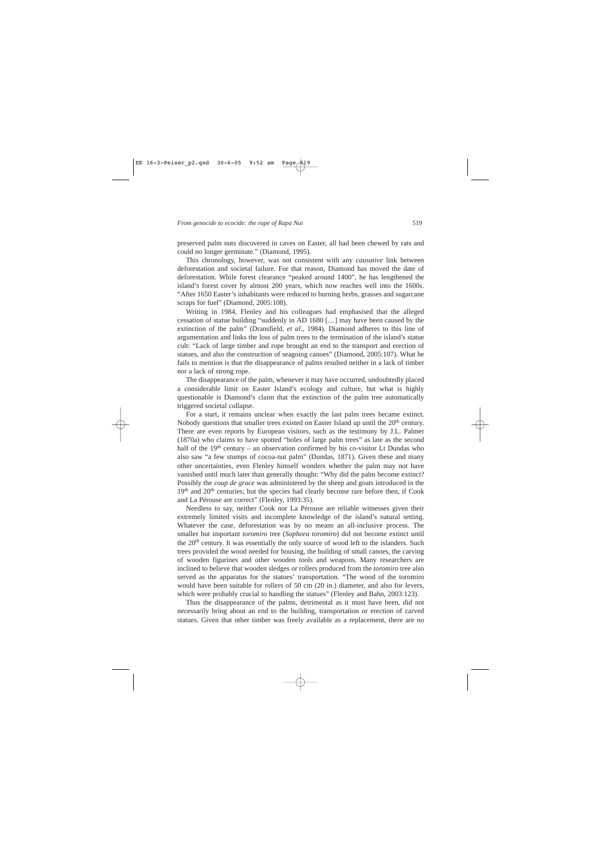preserved palm nuts discovered in caves on Easter, all had been chewed by rats and could no longer germinate." (Diamond, 1995).

This chronology, however, was not consistent with any *causative* link between deforestation and societal failure. For that reason, Diamond has moved the date of deforestation. While forest clearance "peaked around 1400", he has lengthened the island's forest cover by almost 200 years, which now reaches well into the 1600s. "After 1650 Easter's inhabitants were reduced to burning herbs, grasses and sugarcane scraps for fuel" (Diamond, 2005:108).

Writing in 1984, Flenley and his colleagues had emphasised that the alleged cessation of statue building "suddenly in AD 1680 […] may have been caused by the extinction of the palm" (Dransfield, *et al.,* 1984). Diamond adheres to this line of argumentation and links the loss of palm trees to the termination of the island's statue cult: "Lack of large timber and rope brought an end to the transport and erection of statues, and also the construction of seagoing canoes" (Diamond, 2005:107). What he fails to mention is that the disappearance of palms resulted neither in a lack of timber nor a lack of strong rope.

The disappearance of the palm, whenever it may have occurred, undoubtedly placed a considerable limit on Easter Island's ecology and culture, but what is highly questionable is Diamond's claim that the extinction of the palm tree automatically triggered societal collapse.

For a start, it remains unclear when exactly the last palm trees became extinct. Nobody questions that smaller trees existed on Easter Island up until the  $20<sup>th</sup>$  century. There are even reports by European visitors, such as the testimony by J.L. Palmer (1870a) who claims to have spotted "boles of large palm trees" as late as the second half of the 19<sup>th</sup> century – an observation confirmed by his co-visitor Lt Dundas who also saw "a few stumps of cocoa-nut palm" (Dundas, 1871). Given these and many other uncertainties, even Flenley himself wonders whether the palm may not have vanished until much later than generally thought: "Why did the palm become extinct? Possibly the *coup de grace* was administered by the sheep and goats introduced in the 19<sup>th</sup> and 20<sup>th</sup> centuries; but the species had clearly become rare before then, if Cook and La Pérouse are correct" (Flenley, 1993:35).

Needless to say, neither Cook nor La Pérouse are reliable witnesses given their extremely limited visits and incomplete knowledge of the island's natural setting. Whatever the case, deforestation was by no means an all-inclusive process. The smaller but important *toromiro* tree (*Sophora toromiro*) did not become extinct until the  $20<sup>th</sup>$  century. It was essentially the only source of wood left to the islanders. Such trees provided the wood needed for housing, the building of small canoes, the carving of wooden figurines and other wooden tools and weapons. Many researchers are inclined to believe that wooden sledges or rollers produced from the *toromiro* tree also served as the apparatus for the statues' transportation. "The wood of the toromiro would have been suitable for rollers of 50 cm (20 in.) diameter, and also for levers, which were probably crucial to handling the statues" (Flenley and Bahn, 2003:123).

Thus the disappearance of the palms, detrimental as it must have been, did not necessarily bring about an end to the building, transportation or erection of carved statues. Given that other timber was freely available as a replacement, there are no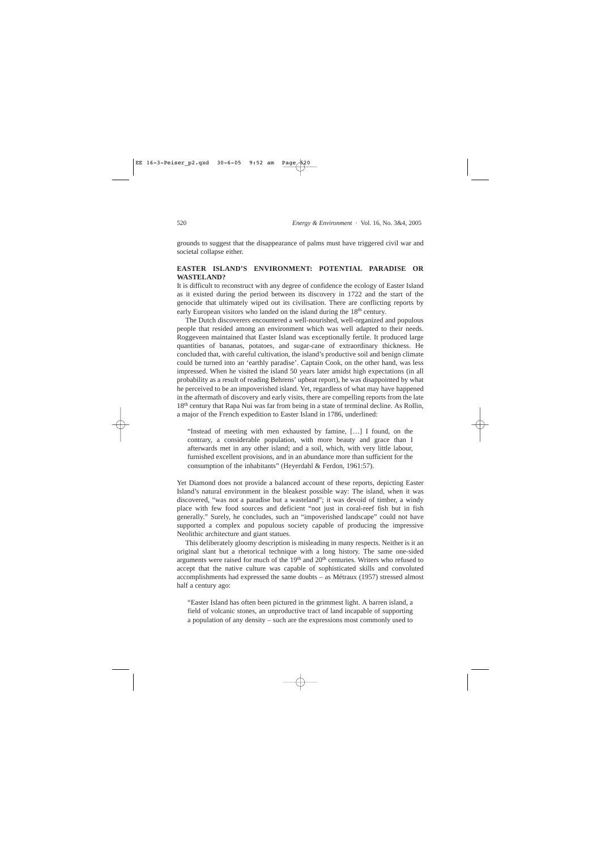grounds to suggest that the disappearance of palms must have triggered civil war and societal collapse either.

# **EASTER ISLAND'S ENVIRONMENT: POTENTIAL PARADISE OR WASTELAND?**

It is difficult to reconstruct with any degree of confidence the ecology of Easter Island as it existed during the period between its discovery in 1722 and the start of the genocide that ultimately wiped out its civilisation. There are conflicting reports by early European visitors who landed on the island during the 18<sup>th</sup> century.

The Dutch discoverers encountered a well-nourished, well-organized and populous people that resided among an environment which was well adapted to their needs. Roggeveen maintained that Easter Island was exceptionally fertile. It produced large quantities of bananas, potatoes, and sugar-cane of extraordinary thickness. He concluded that, with careful cultivation, the island's productive soil and benign climate could be turned into an 'earthly paradise'. Captain Cook, on the other hand, was less impressed. When he visited the island 50 years later amidst high expectations (in all probability as a result of reading Behrens' upbeat report), he was disappointed by what he perceived to be an impoverished island. Yet, regardless of what may have happened in the aftermath of discovery and early visits, there are compelling reports from the late 18th century that Rapa Nui was far from being in a state of terminal decline. As Rollin, a major of the French expedition to Easter Island in 1786, underlined:

"Instead of meeting with men exhausted by famine, […] I found, on the contrary, a considerable population, with more beauty and grace than I afterwards met in any other island; and a soil, which, with very little labour, furnished excellent provisions, and in an abundance more than sufficient for the consumption of the inhabitants" (Heyerdahl & Ferdon, 1961:57).

Yet Diamond does not provide a balanced account of these reports, depicting Easter Island's natural environment in the bleakest possible way: The island, when it was discovered, "was not a paradise but a wasteland"; it was devoid of timber, a windy place with few food sources and deficient "not just in coral-reef fish but in fish generally." Surely, he concludes, such an "impoverished landscape" could not have supported a complex and populous society capable of producing the impressive Neolithic architecture and giant statues.

This deliberately gloomy description is misleading in many respects. Neither is it an original slant but a rhetorical technique with a long history. The same one-sided arguments were raised for much of the  $19<sup>th</sup>$  and  $20<sup>th</sup>$  centuries. Writers who refused to accept that the native culture was capable of sophisticated skills and convoluted accomplishments had expressed the same doubts – as Métraux (1957) stressed almost half a century ago:

"Easter Island has often been pictured in the grimmest light. A barren island, a field of volcanic stones, an unproductive tract of land incapable of supporting a population of any density – such are the expressions most commonly used to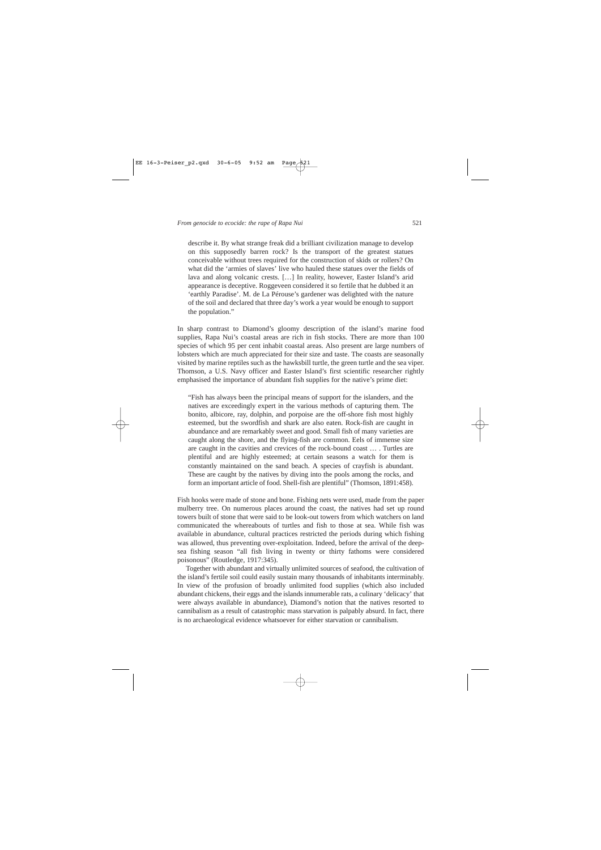describe it. By what strange freak did a brilliant civilization manage to develop on this supposedly barren rock? Is the transport of the greatest statues conceivable without trees required for the construction of skids or rollers? On what did the 'armies of slaves' live who hauled these statues over the fields of lava and along volcanic crests. […] In reality, however, Easter Island's arid appearance is deceptive. Roggeveen considered it so fertile that he dubbed it an 'earthly Paradise'. M. de La Pérouse's gardener was delighted with the nature of the soil and declared that three day's work a year would be enough to support the population."

In sharp contrast to Diamond's gloomy description of the island's marine food supplies, Rapa Nui's coastal areas are rich in fish stocks. There are more than 100 species of which 95 per cent inhabit coastal areas. Also present are large numbers of lobsters which are much appreciated for their size and taste. The coasts are seasonally visited by marine reptiles such as the hawksbill turtle, the green turtle and the sea viper. Thomson, a U.S. Navy officer and Easter Island's first scientific researcher rightly emphasised the importance of abundant fish supplies for the native's prime diet:

"Fish has always been the principal means of support for the islanders, and the natives are exceedingly expert in the various methods of capturing them. The bonito, albicore, ray, dolphin, and porpoise are the off-shore fish most highly esteemed, but the swordfish and shark are also eaten. Rock-fish are caught in abundance and are remarkably sweet and good. Small fish of many varieties are caught along the shore, and the flying-fish are common. Eels of immense size are caught in the cavities and crevices of the rock-bound coast … . Turtles are plentiful and are highly esteemed; at certain seasons a watch for them is constantly maintained on the sand beach. A species of crayfish is abundant. These are caught by the natives by diving into the pools among the rocks, and form an important article of food. Shell-fish are plentiful" (Thomson, 1891:458).

Fish hooks were made of stone and bone. Fishing nets were used, made from the paper mulberry tree. On numerous places around the coast, the natives had set up round towers built of stone that were said to be look-out towers from which watchers on land communicated the whereabouts of turtles and fish to those at sea. While fish was available in abundance, cultural practices restricted the periods during which fishing was allowed, thus preventing over-exploitation. Indeed, before the arrival of the deepsea fishing season "all fish living in twenty or thirty fathoms were considered poisonous" (Routledge, 1917:345).

Together with abundant and virtually unlimited sources of seafood, the cultivation of the island's fertile soil could easily sustain many thousands of inhabitants interminably. In view of the profusion of broadly unlimited food supplies (which also included abundant chickens, their eggs and the islands innumerable rats, a culinary 'delicacy' that were always available in abundance), Diamond's notion that the natives resorted to cannibalism as a result of catastrophic mass starvation is palpably absurd. In fact, there is no archaeological evidence whatsoever for either starvation or cannibalism.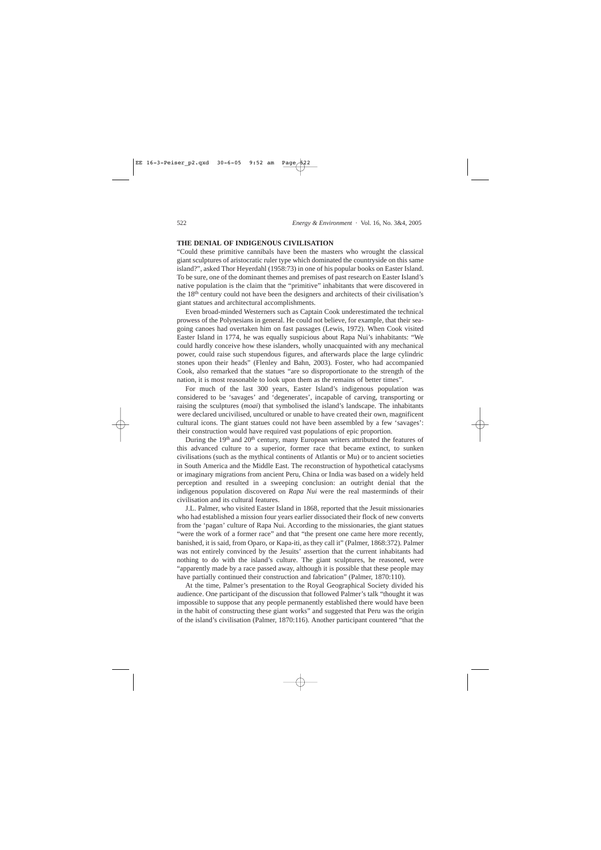# **THE DENIAL OF INDIGENOUS CIVILISATION**

"Could these primitive cannibals have been the masters who wrought the classical giant sculptures of aristocratic ruler type which dominated the countryside on this same island?", asked Thor Heyerdahl (1958:73) in one of his popular books on Easter Island. To be sure, one of the dominant themes and premises of past research on Easter Island's native population is the claim that the "primitive" inhabitants that were discovered in the 18th century could not have been the designers and architects of their civilisation's giant statues and architectural accomplishments.

Even broad-minded Westerners such as Captain Cook underestimated the technical prowess of the Polynesians in general. He could not believe, for example, that their seagoing canoes had overtaken him on fast passages (Lewis, 1972). When Cook visited Easter Island in 1774, he was equally suspicious about Rapa Nui's inhabitants: "We could hardly conceive how these islanders, wholly unacquainted with any mechanical power, could raise such stupendous figures, and afterwards place the large cylindric stones upon their heads" (Flenley and Bahn, 2003). Foster, who had accompanied Cook, also remarked that the statues "are so disproportionate to the strength of the nation, it is most reasonable to look upon them as the remains of better times".

For much of the last 300 years, Easter Island's indigenous population was considered to be 'savages' and 'degenerates', incapable of carving, transporting or raising the sculptures (*moai*) that symbolised the island's landscape. The inhabitants were declared uncivilised, uncultured or unable to have created their own, magnificent cultural icons. The giant statues could not have been assembled by a few 'savages': their construction would have required vast populations of epic proportion.

During the 19<sup>th</sup> and 20<sup>th</sup> century, many European writers attributed the features of this advanced culture to a superior, former race that became extinct, to sunken civilisations (such as the mythical continents of Atlantis or Mu) or to ancient societies in South America and the Middle East. The reconstruction of hypothetical cataclysms or imaginary migrations from ancient Peru, China or India was based on a widely held perception and resulted in a sweeping conclusion: an outright denial that the indigenous population discovered on *Rapa Nui* were the real masterminds of their civilisation and its cultural features.

J.L. Palmer, who visited Easter Island in 1868, reported that the Jesuit missionaries who had established a mission four years earlier dissociated their flock of new converts from the 'pagan' culture of Rapa Nui. According to the missionaries, the giant statues "were the work of a former race" and that "the present one came here more recently, banished, it is said, from Oparo, or Kapa-iti, as they call it" (Palmer, 1868:372). Palmer was not entirely convinced by the Jesuits' assertion that the current inhabitants had nothing to do with the island's culture. The giant sculptures, he reasoned, were "apparently made by a race passed away, although it is possible that these people may have partially continued their construction and fabrication" (Palmer, 1870:110).

At the time, Palmer's presentation to the Royal Geographical Society divided his audience. One participant of the discussion that followed Palmer's talk "thought it was impossible to suppose that any people permanently established there would have been in the habit of constructing these giant works" and suggested that Peru was the origin of the island's civilisation (Palmer, 1870:116). Another participant countered "that the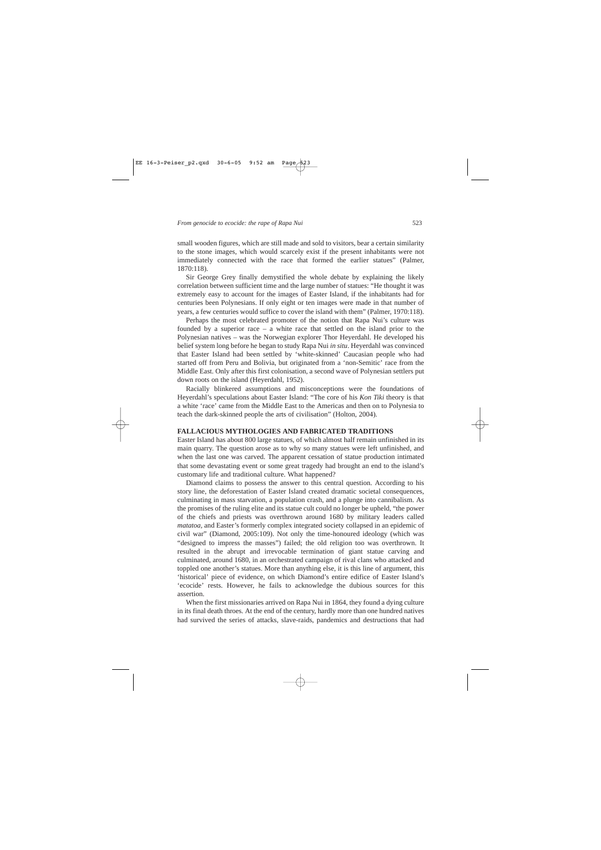small wooden figures, which are still made and sold to visitors, bear a certain similarity to the stone images, which would scarcely exist if the present inhabitants were not immediately connected with the race that formed the earlier statues" (Palmer, 1870:118).

Sir George Grey finally demystified the whole debate by explaining the likely correlation between sufficient time and the large number of statues: "He thought it was extremely easy to account for the images of Easter Island, if the inhabitants had for centuries been Polynesians. If only eight or ten images were made in that number of years, a few centuries would suffice to cover the island with them" (Palmer, 1970:118).

Perhaps the most celebrated promoter of the notion that Rapa Nui's culture was founded by a superior race – a white race that settled on the island prior to the Polynesian natives – was the Norwegian explorer Thor Heyerdahl. He developed his belief system long before he began to study Rapa Nui *in situ*. Heyerdahl was convinced that Easter Island had been settled by 'white-skinned' Caucasian people who had started off from Peru and Bolivia, but originated from a 'non-Semitic' race from the Middle East. Only after this first colonisation, a second wave of Polynesian settlers put down roots on the island (Heyerdahl, 1952).

Racially blinkered assumptions and misconceptions were the foundations of Heyerdahl's speculations about Easter Island: "The core of his *Kon Tiki* theory is that a white 'race' came from the Middle East to the Americas and then on to Polynesia to teach the dark-skinned people the arts of civilisation" (Holton, 2004).

# **FALLACIOUS MYTHOLOGIES AND FABRICATED TRADITIONS**

Easter Island has about 800 large statues, of which almost half remain unfinished in its main quarry. The question arose as to why so many statues were left unfinished, and when the last one was carved. The apparent cessation of statue production intimated that some devastating event or some great tragedy had brought an end to the island's customary life and traditional culture. What happened?

Diamond claims to possess the answer to this central question. According to his story line, the deforestation of Easter Island created dramatic societal consequences, culminating in mass starvation, a population crash, and a plunge into cannibalism. As the promises of the ruling elite and its statue cult could no longer be upheld, "the power of the chiefs and priests was overthrown around 1680 by military leaders called *matatoa,* and Easter's formerly complex integrated society collapsed in an epidemic of civil war" (Diamond, 2005:109). Not only the time-honoured ideology (which was "designed to impress the masses") failed; the old religion too was overthrown. It resulted in the abrupt and irrevocable termination of giant statue carving and culminated, around 1680, in an orchestrated campaign of rival clans who attacked and toppled one another's statues. More than anything else, it is this line of argument, this 'historical' piece of evidence, on which Diamond's entire edifice of Easter Island's 'ecocide' rests. However, he fails to acknowledge the dubious sources for this assertion.

When the first missionaries arrived on Rapa Nui in 1864, they found a dying culture in its final death throes. At the end of the century, hardly more than one hundred natives had survived the series of attacks, slave-raids, pandemics and destructions that had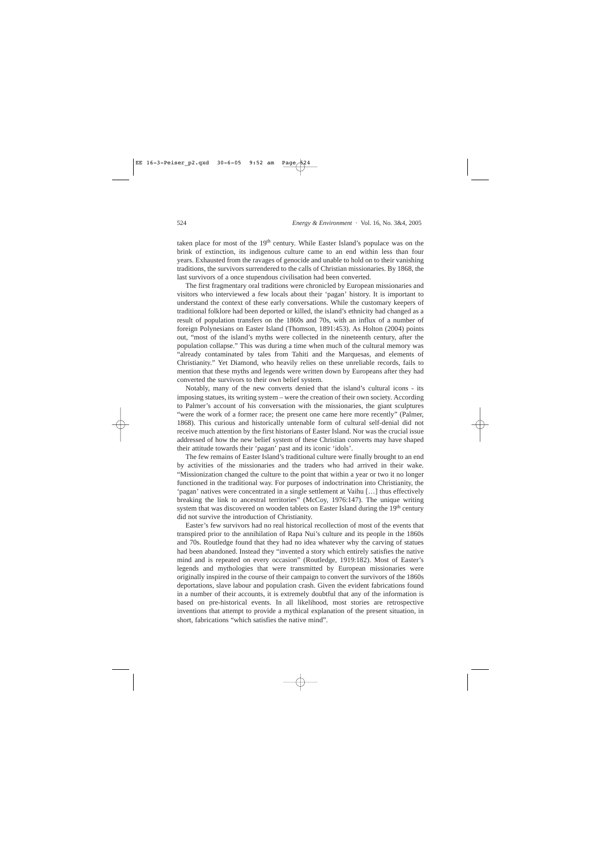taken place for most of the 19<sup>th</sup> century. While Easter Island's populace was on the brink of extinction, its indigenous culture came to an end within less than four years. Exhausted from the ravages of genocide and unable to hold on to their vanishing traditions, the survivors surrendered to the calls of Christian missionaries. By 1868, the last survivors of a once stupendous civilisation had been converted.

The first fragmentary oral traditions were chronicled by European missionaries and visitors who interviewed a few locals about their 'pagan' history. It is important to understand the context of these early conversations. While the customary keepers of traditional folklore had been deported or killed, the island's ethnicity had changed as a result of population transfers on the 1860s and 70s, with an influx of a number of foreign Polynesians on Easter Island (Thomson, 1891:453). As Holton (2004) points out, "most of the island's myths were collected in the nineteenth century, after the population collapse." This was during a time when much of the cultural memory was "already contaminated by tales from Tahiti and the Marquesas, and elements of Christianity." Yet Diamond, who heavily relies on these unreliable records, fails to mention that these myths and legends were written down by Europeans after they had converted the survivors to their own belief system.

Notably, many of the new converts denied that the island's cultural icons - its imposing statues, its writing system – were the creation of their own society. According to Palmer's account of his conversation with the missionaries, the giant sculptures "were the work of a former race; the present one came here more recently" (Palmer, 1868). This curious and historically untenable form of cultural self-denial did not receive much attention by the first historians of Easter Island. Nor was the crucial issue addressed of how the new belief system of these Christian converts may have shaped their attitude towards their 'pagan' past and its iconic 'idols'.

The few remains of Easter Island's traditional culture were finally brought to an end by activities of the missionaries and the traders who had arrived in their wake. "Missionization changed the culture to the point that within a year or two it no longer functioned in the traditional way. For purposes of indoctrination into Christianity, the 'pagan' natives were concentrated in a single settlement at Vaihu […] thus effectively breaking the link to ancestral territories" (McCoy, 1976:147). The unique writing system that was discovered on wooden tablets on Easter Island during the 19<sup>th</sup> century did not survive the introduction of Christianity.

Easter's few survivors had no real historical recollection of most of the events that transpired prior to the annihilation of Rapa Nui's culture and its people in the 1860s and 70s. Routledge found that they had no idea whatever why the carving of statues had been abandoned. Instead they "invented a story which entirely satisfies the native mind and is repeated on every occasion" (Routledge, 1919:182). Most of Easter's legends and mythologies that were transmitted by European missionaries were originally inspired in the course of their campaign to convert the survivors of the 1860s deportations, slave labour and population crash. Given the evident fabrications found in a number of their accounts, it is extremely doubtful that any of the information is based on pre-historical events. In all likelihood, most stories are retrospective inventions that attempt to provide a mythical explanation of the present situation, in short, fabrications "which satisfies the native mind".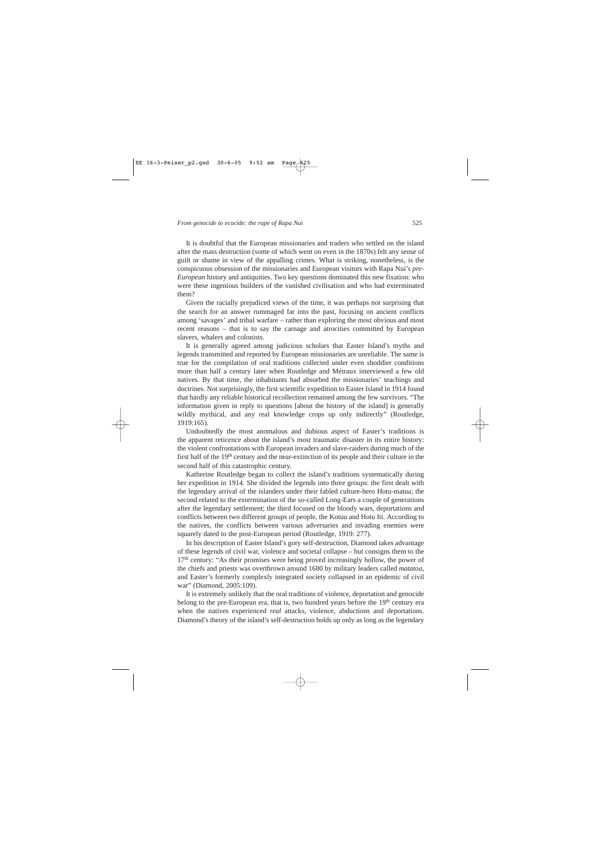It is doubtful that the European missionaries and traders who settled on the island after the mass destruction (some of which went on even in the 1870s) felt any sense of guilt or shame in view of the appalling crimes. What is striking, nonetheless, is the conspicuous obsession of the missionaries and European visitors with Rapa Nui's *pre-European* history and antiquities. Two key questions dominated this new fixation: who were these ingenious builders of the vanished civilisation and who had exterminated them?

Given the racially prejudiced views of the time, it was perhaps not surprising that the search for an answer rummaged far into the past, focusing on ancient conflicts among 'savages' and tribal warfare – rather than exploring the most obvious and most recent reasons – that is to say the carnage and atrocities committed by European slavers, whalers and colonists.

It is generally agreed among judicious scholars that Easter Island's myths and legends transmitted and reported by European missionaries are unreliable. The same is true for the compilation of oral traditions collected under even shoddier conditions more than half a century later when Routledge and Métraux interviewed a few old natives. By that time, the inhabitants had absorbed the missionaries' teachings and doctrines. Not surprisingly, the first scientific expedition to Easter Island in 1914 found that hardly any reliable historical recollection remained among the few survivors. "The information given in reply to questions [about the history of the island] is generally wildly mythical, and any real knowledge crops up only indirectly" (Routledge, 1919:165).

Undoubtedly the most anomalous and dubious aspect of Easter's traditions is the apparent reticence about the island's most traumatic disaster in its entire history: the violent confrontations with European invaders and slave-raiders during much of the first half of the 19<sup>th</sup> century and the near-extinction of its people and their culture in the second half of this catastrophic century.

Katherine Routledge began to collect the island's traditions systematically during her expedition in 1914. She divided the legends into three groups: the first dealt with the legendary arrival of the islanders under their fabled culture-hero Hotu-matua; the second related to the extermination of the so-called Long-Ears a couple of generations after the legendary settlement; the third focused on the bloody wars, deportations and conflicts between two different groups of people, the Kotuu and Hotu Iti. According to the natives, the conflicts between various adversaries and invading enemies were squarely dated to the post-European period (Routledge, 1919: 277).

In his description of Easter Island's gory self-destruction, Diamond takes advantage of these legends of civil war, violence and societal collapse – but consigns them to the 17<sup>th</sup> century: "As their promises were being proved increasingly hollow, the power of the chiefs and priests was overthrown around 1680 by military leaders called *matatoa,* and Easter's formerly complexly integrated society collapsed in an epidemic of civil war" (Diamond, 2005:109).

It is extremely unlikely that the oral traditions of violence, deportation and genocide belong to the pre-European era, that is, two hundred years before the 19<sup>th</sup> century era when the natives experienced *real* attacks, violence, abductions and deportations. Diamond's theory of the island's self-destruction holds up only as long as the legendary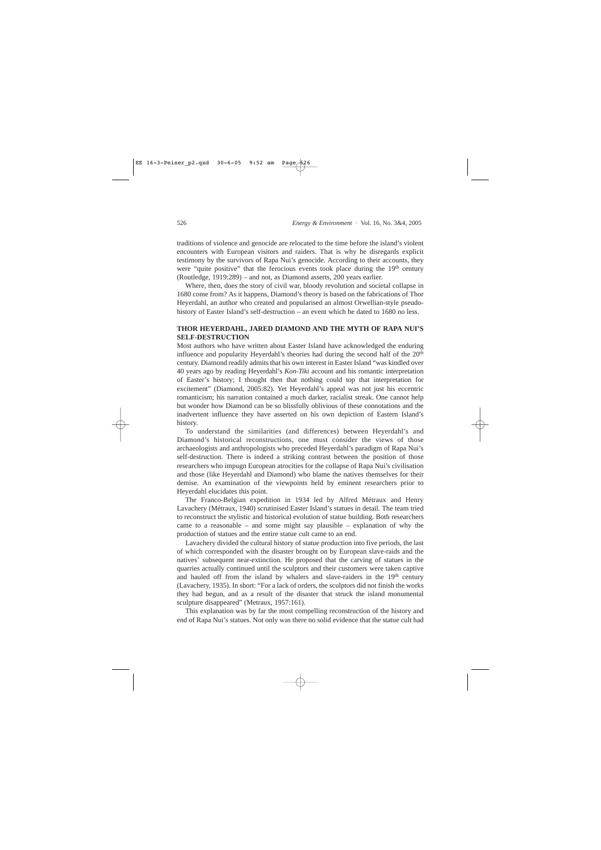traditions of violence and genocide are relocated to the time before the island's violent encounters with European visitors and raiders. That is why he disregards explicit testimony by the survivors of Rapa Nui's genocide. According to their accounts, they were "quite positive" that the ferocious events took place during the  $19<sup>th</sup>$  century (Routledge, 1919:289) – and not, as Diamond asserts, 200 years earlier.

Where, then, does the story of civil war, bloody revolution and societal collapse in 1680 come from? As it happens, Diamond's theory is based on the fabrications of Thor Heyerdahl, an author who created and popularised an almost Orwellian-style pseudohistory of Easter Island's self-destruction – an event which he dated to 1680 no less.

# **THOR HEYERDAHL, JARED DIAMOND AND THE MYTH OF RAPA NUI'S SELF-DESTRUCTION**

Most authors who have written about Easter Island have acknowledged the enduring influence and popularity Heyerdahl's theories had during the second half of the 20<sup>th</sup> century. Diamond readily admits that his own interest in Easter Island "was kindled over 40 years ago by reading Heyerdahl's *Kon-Tiki* account and his romantic interpretation of Easter's history; I thought then that nothing could top that interpretation for excitement" (Diamond, 2005:82). Yet Heyerdahl's appeal was not just his eccentric romanticism; his narration contained a much darker, racialist streak. One cannot help but wonder how Diamond can be so blissfully oblivious of these connotations and the inadvertent influence they have asserted on his own depiction of Eastern Island's history.

To understand the similarities (and differences) between Heyerdahl's and Diamond's historical reconstructions, one must consider the views of those archaeologists and anthropologists who preceded Heyerdahl's paradigm of Rapa Nui's self-destruction. There is indeed a striking contrast between the position of those researchers who impugn European atrocities for the collapse of Rapa Nui's civilisation and those (like Heyerdahl and Diamond) who blame the natives themselves for their demise. An examination of the viewpoints held by eminent researchers prior to Heyerdahl elucidates this point.

The Franco-Belgian expedition in 1934 led by Alfred Métraux and Henry Lavachery (Métraux, 1940) scrutinised Easter Island's statues in detail. The team tried to reconstruct the stylistic and historical evolution of statue building. Both researchers came to a reasonable – and some might say plausible – explanation of why the production of statues and the entire statue cult came to an end.

Lavachery divided the cultural history of statue production into five periods, the last of which corresponded with the disaster brought on by European slave-raids and the natives' subsequent near-extinction. He proposed that the carving of statues in the quarries actually continued until the sculptors and their customers were taken captive and hauled off from the island by whalers and slave-raiders in the  $19<sup>th</sup>$  century (Lavachery, 1935). In short: "For a lack of orders, the sculptors did not finish the works they had begun, and as a result of the disaster that struck the island monumental sculpture disappeared" (Metraux, 1957:161).

This explanation was by far the most compelling reconstruction of the history and end of Rapa Nui's statues. Not only was there no solid evidence that the statue cult had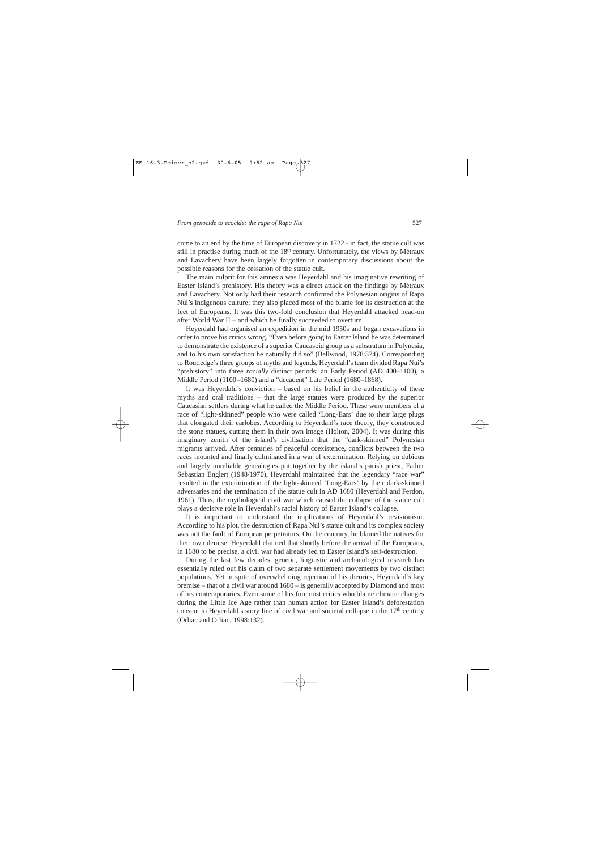come to an end by the time of European discovery in 1722 - in fact, the statue cult was still in practise during much of the 18<sup>th</sup> century. Unfortunately, the views by Métraux and Lavachery have been largely forgotten in contemporary discussions about the possible reasons for the cessation of the statue cult.

The main culprit for this amnesia was Heyerdahl and his imaginative rewriting of Easter Island's prehistory. His theory was a direct attack on the findings by Métraux and Lavachery. Not only had their research confirmed the Polynesian origins of Rapa Nui's indigenous culture; they also placed most of the blame for its destruction at the feet of Europeans. It was this two-fold conclusion that Heyerdahl attacked head-on after World War II – and which he finally succeeded to overturn.

Heyerdahl had organised an expedition in the mid 1950s and began excavations in order to prove his critics wrong. "Even before going to Easter Island he was determined to demonstrate the existence of a superior Caucasoid group as a substratum in Polynesia, and to his own satisfaction he naturally did so" (Bellwood, 1978:374). Corresponding to Routledge's three groups of myths and legends, Heyerdahl's team divided Rapa Nui's "prehistory" into three *racially* distinct periods: an Early Period (AD 400–1100), a Middle Period (1100–1680) and a "decadent" Late Period (1680–1868).

It was Heyerdahl's conviction – based on his belief in the authenticity of these myths and oral traditions – that the large statues were produced by the superior Caucasian settlers during what he called the Middle Period. These were members of a race of "light-skinned" people who were called 'Long-Ears' due to their large plugs that elongated their earlobes. According to Heyerdahl's race theory, they constructed the stone statues, cutting them in their own image (Holton, 2004). It was during this imaginary zenith of the island's civilisation that the "dark-skinned" Polynesian migrants arrived. After centuries of peaceful coexistence, conflicts between the two races mounted and finally culminated in a war of extermination. Relying on dubious and largely unreliable genealogies put together by the island's parish priest, Father Sebastian Englert (1948/1970), Heyerdahl maintained that the legendary "race war" resulted in the extermination of the light-skinned 'Long-Ears' by their dark-skinned adversaries and the termination of the statue cult in AD 1680 (Heyerdahl and Ferdon, 1961). Thus, the mythological civil war which caused the collapse of the statue cult plays a decisive role in Heyerdahl's racial history of Easter Island's collapse.

It is important to understand the implications of Heyerdahl's revisionism. According to his plot, the destruction of Rapa Nui's statue cult and its complex society was not the fault of European perpetrators. On the contrary, he blamed the natives for their own demise: Heyerdahl claimed that shortly before the arrival of the Europeans, in 1680 to be precise, a civil war had already led to Easter Island's self-destruction.

During the last few decades, genetic, linguistic and archaeological research has essentially ruled out his claim of two separate settlement movements by two distinct populations. Yet in spite of overwhelming rejection of his theories, Heyerdahl's key premise – that of a civil war around 1680 – is generally accepted by Diamond and most of his contemporaries. Even some of his foremost critics who blame climatic changes during the Little Ice Age rather than human action for Easter Island's deforestation consent to Heyerdahl's story line of civil war and societal collapse in the 17<sup>th</sup> century (Orliac and Orliac, 1998:132).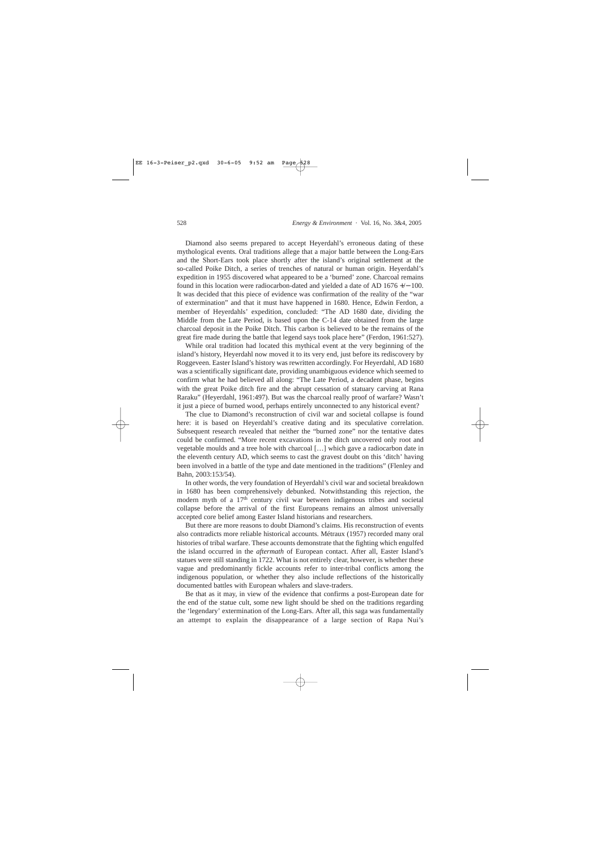Diamond also seems prepared to accept Heyerdahl's erroneous dating of these mythological events. Oral traditions allege that a major battle between the Long-Ears and the Short-Ears took place shortly after the island's original settlement at the so-called Poike Ditch, a series of trenches of natural or human origin. Heyerdahl's expedition in 1955 discovered what appeared to be a 'burned' zone. Charcoal remains found in this location were radiocarbon-dated and yielded a date of AD 1676 +/− 100. It was decided that this piece of evidence was confirmation of the reality of the "war of extermination" and that it must have happened in 1680. Hence, Edwin Ferdon, a member of Heyerdahls' expedition, concluded: "The AD 1680 date, dividing the Middle from the Late Period, is based upon the C-14 date obtained from the large charcoal deposit in the Poike Ditch. This carbon is believed to be the remains of the great fire made during the battle that legend says took place here" (Ferdon, 1961:527).

While oral tradition had located this mythical event at the very beginning of the island's history, Heyerdahl now moved it to its very end, just before its rediscovery by Roggeveen. Easter Island's history was rewritten accordingly. For Heyerdahl, AD 1680 was a scientifically significant date, providing unambiguous evidence which seemed to confirm what he had believed all along: "The Late Period, a decadent phase, begins with the great Poike ditch fire and the abrupt cessation of statuary carving at Rana Raraku" (Heyerdahl, 1961:497). But was the charcoal really proof of warfare? Wasn't it just a piece of burned wood, perhaps entirely unconnected to any historical event?

The clue to Diamond's reconstruction of civil war and societal collapse is found here: it is based on Heyerdahl's creative dating and its speculative correlation. Subsequent research revealed that neither the "burned zone" nor the tentative dates could be confirmed. "More recent excavations in the ditch uncovered only root and vegetable moulds and a tree hole with charcoal […] which gave a radiocarbon date in the eleventh century AD, which seems to cast the gravest doubt on this 'ditch' having been involved in a battle of the type and date mentioned in the traditions" (Flenley and Bahn, 2003:153/54).

In other words, the very foundation of Heyerdahl's civil war and societal breakdown in 1680 has been comprehensively debunked. Notwithstanding this rejection, the modern myth of a 17<sup>th</sup> century civil war between indigenous tribes and societal collapse before the arrival of the first Europeans remains an almost universally accepted core belief among Easter Island historians and researchers.

But there are more reasons to doubt Diamond's claims. His reconstruction of events also contradicts more reliable historical accounts. Métraux (1957) recorded many oral histories of tribal warfare. These accounts demonstrate that the fighting which engulfed the island occurred in the *aftermath* of European contact. After all, Easter Island's statues were still standing in 1722. What is not entirely clear, however, is whether these vague and predominantly fickle accounts refer to inter-tribal conflicts among the indigenous population, or whether they also include reflections of the historically documented battles with European whalers and slave-traders.

Be that as it may, in view of the evidence that confirms a post-European date for the end of the statue cult, some new light should be shed on the traditions regarding the 'legendary' extermination of the Long-Ears. After all, this saga was fundamentally an attempt to explain the disappearance of a large section of Rapa Nui's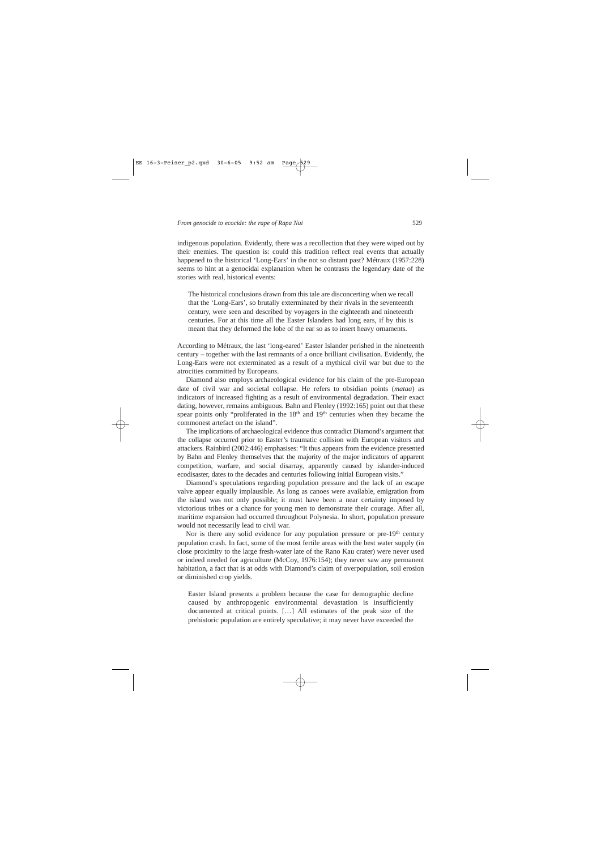indigenous population. Evidently, there was a recollection that they were wiped out by their enemies. The question is: could this tradition reflect real events that actually happened to the historical 'Long-Ears' in the not so distant past? Métraux (1957:228) seems to hint at a genocidal explanation when he contrasts the legendary date of the stories with real, historical events:

The historical conclusions drawn from this tale are disconcerting when we recall that the 'Long-Ears', so brutally exterminated by their rivals in the seventeenth century, were seen and described by voyagers in the eighteenth and nineteenth centuries. For at this time all the Easter Islanders had long ears, if by this is meant that they deformed the lobe of the ear so as to insert heavy ornaments.

According to Métraux, the last 'long-eared' Easter Islander perished in the nineteenth century – together with the last remnants of a once brilliant civilisation. Evidently, the Long-Ears were not exterminated as a result of a mythical civil war but due to the atrocities committed by Europeans.

Diamond also employs archaeological evidence for his claim of the pre-European date of civil war and societal collapse. He refers to obsidian points (*mataa*) as indicators of increased fighting as a result of environmental degradation. Their exact dating, however, remains ambiguous. Bahn and Flenley (1992:165) point out that these spear points only "proliferated in the 18<sup>th</sup> and 19<sup>th</sup> centuries when they became the commonest artefact on the island".

The implications of archaeological evidence thus contradict Diamond's argument that the collapse occurred prior to Easter's traumatic collision with European visitors and attackers. Rainbird (2002:446) emphasises: "It thus appears from the evidence presented by Bahn and Flenley themselves that the majority of the major indicators of apparent competition, warfare, and social disarray, apparently caused by islander-induced ecodisaster, dates to the decades and centuries following initial European visits."

Diamond's speculations regarding population pressure and the lack of an escape valve appear equally implausible. As long as canoes were available, emigration from the island was not only possible; it must have been a near certainty imposed by victorious tribes or a chance for young men to demonstrate their courage. After all, maritime expansion had occurred throughout Polynesia. In short, population pressure would not necessarily lead to civil war.

Nor is there any solid evidence for any population pressure or  $pre-19<sup>th</sup>$  century population crash. In fact, some of the most fertile areas with the best water supply (in close proximity to the large fresh-water late of the Rano Kau crater) were never used or indeed needed for agriculture (McCoy, 1976:154); they never saw any permanent habitation, a fact that is at odds with Diamond's claim of overpopulation, soil erosion or diminished crop yields.

Easter Island presents a problem because the case for demographic decline caused by anthropogenic environmental devastation is insufficiently documented at critical points. […] All estimates of the peak size of the prehistoric population are entirely speculative; it may never have exceeded the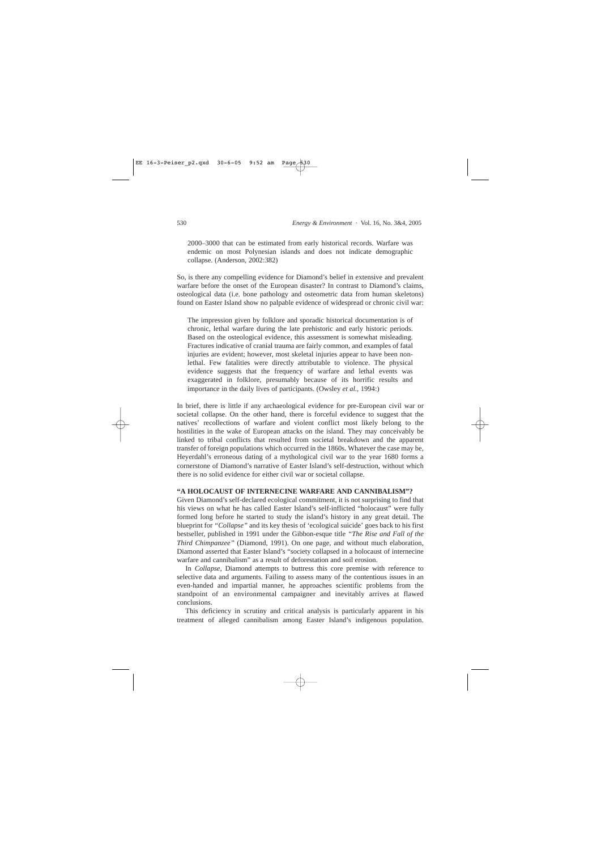2000–3000 that can be estimated from early historical records. Warfare was endemic on most Polynesian islands and does not indicate demographic collapse. (Anderson, 2002:382)

So, is there any compelling evidence for Diamond's belief in extensive and prevalent warfare before the onset of the European disaster? In contrast to Diamond's claims, osteological data (i.e. bone pathology and osteometric data from human skeletons) found on Easter Island show no palpable evidence of widespread or chronic civil war:

The impression given by folklore and sporadic historical documentation is of chronic, lethal warfare during the late prehistoric and early historic periods. Based on the osteological evidence, this assessment is somewhat misleading. Fractures indicative of cranial trauma are fairly common, and examples of fatal injuries are evident; however, most skeletal injuries appear to have been nonlethal. Few fatalities were directly attributable to violence. The physical evidence suggests that the frequency of warfare and lethal events was exaggerated in folklore, presumably because of its horrific results and importance in the daily lives of participants. (Owsley *et al.,* 1994:)

In brief, there is little if any archaeological evidence for pre-European civil war or societal collapse. On the other hand, there is forceful evidence to suggest that the natives' recollections of warfare and violent conflict most likely belong to the hostilities in the wake of European attacks on the island. They may conceivably be linked to tribal conflicts that resulted from societal breakdown and the apparent transfer of foreign populations which occurred in the 1860s. Whatever the case may be, Heyerdahl's erroneous dating of a mythological civil war to the year 1680 forms a cornerstone of Diamond's narrative of Easter Island's self-destruction, without which there is no solid evidence for either civil war or societal collapse.

# **"A HOLOCAUST OF INTERNECINE WARFARE AND CANNIBALISM"?**

Given Diamond's self-declared ecological commitment, it is not surprising to find that his views on what he has called Easter Island's self-inflicted "holocaust" were fully formed long before he started to study the island's history in any great detail. The blueprint for *"Collapse"* and its key thesis of 'ecological suicide' goes back to his first bestseller, published in 1991 under the Gibbon-esque title *"The Rise and Fall of the Third Chimpanzee"* (Diamond, 1991). On one page, and without much elaboration, Diamond asserted that Easter Island's "society collapsed in a holocaust of internecine warfare and cannibalism" as a result of deforestation and soil erosion.

In *Collapse,* Diamond attempts to buttress this core premise with reference to selective data and arguments. Failing to assess many of the contentious issues in an even-handed and impartial manner, he approaches scientific problems from the standpoint of an environmental campaigner and inevitably arrives at flawed conclusions.

This deficiency in scrutiny and critical analysis is particularly apparent in his treatment of alleged cannibalism among Easter Island's indigenous population.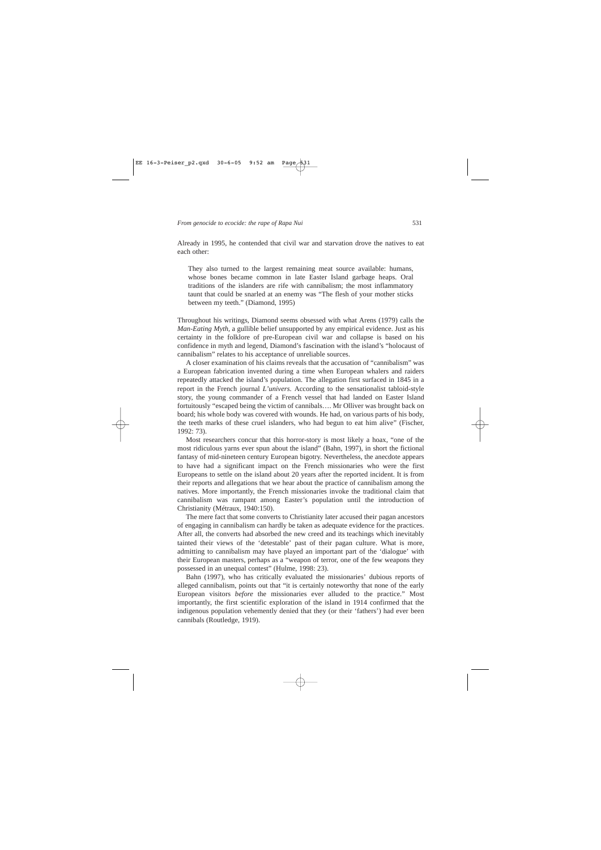They also turned to the largest remaining meat source available: humans, whose bones became common in late Easter Island garbage heaps. Oral traditions of the islanders are rife with cannibalism; the most inflammatory taunt that could be snarled at an enemy was "The flesh of your mother sticks between my teeth." (Diamond, 1995)

Throughout his writings, Diamond seems obsessed with what Arens (1979) calls the *Man-Eating Myth,* a gullible belief unsupported by any empirical evidence. Just as his certainty in the folklore of pre-European civil war and collapse is based on his confidence in myth and legend, Diamond's fascination with the island's "holocaust of cannibalism" relates to his acceptance of unreliable sources.

A closer examination of his claims reveals that the accusation of "cannibalism" was a European fabrication invented during a time when European whalers and raiders repeatedly attacked the island's population. The allegation first surfaced in 1845 in a report in the French journal *L'univers*. According to the sensationalist tabloid-style story, the young commander of a French vessel that had landed on Easter Island fortuitously "escaped being the victim of cannibals…. Mr Olliver was brought back on board; his whole body was covered with wounds. He had, on various parts of his body, the teeth marks of these cruel islanders, who had begun to eat him alive" (Fischer, 1992: 73).

Most researchers concur that this horror-story is most likely a hoax, "one of the most ridiculous yarns ever spun about the island" (Bahn, 1997), in short the fictional fantasy of mid-nineteen century European bigotry. Nevertheless, the anecdote appears to have had a significant impact on the French missionaries who were the first Europeans to settle on the island about 20 years after the reported incident. It is from their reports and allegations that we hear about the practice of cannibalism among the natives. More importantly, the French missionaries invoke the traditional claim that cannibalism was rampant among Easter's population until the introduction of Christianity (Métraux, 1940:150).

The mere fact that some converts to Christianity later accused their pagan ancestors of engaging in cannibalism can hardly be taken as adequate evidence for the practices. After all, the converts had absorbed the new creed and its teachings which inevitably tainted their views of the 'detestable' past of their pagan culture. What is more, admitting to cannibalism may have played an important part of the 'dialogue' with their European masters, perhaps as a "weapon of terror, one of the few weapons they possessed in an unequal contest" (Hulme, 1998: 23).

Bahn (1997), who has critically evaluated the missionaries' dubious reports of alleged cannibalism, points out that "it is certainly noteworthy that none of the early European visitors *before* the missionaries ever alluded to the practice." Most importantly, the first scientific exploration of the island in 1914 confirmed that the indigenous population vehemently denied that they (or their 'fathers') had ever been cannibals (Routledge, 1919).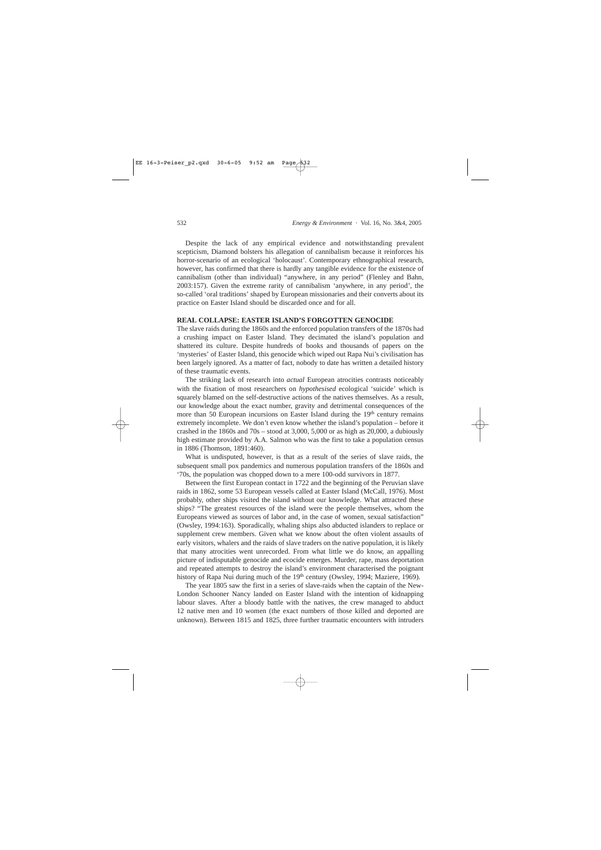Despite the lack of any empirical evidence and notwithstanding prevalent scepticism, Diamond bolsters his allegation of cannibalism because it reinforces his horror-scenario of an ecological 'holocaust'. Contemporary ethnographical research, however, has confirmed that there is hardly any tangible evidence for the existence of cannibalism (other than individual) "anywhere, in any period" (Flenley and Bahn, 2003:157). Given the extreme rarity of cannibalism 'anywhere, in any period', the so-called 'oral traditions' shaped by European missionaries and their converts about its practice on Easter Island should be discarded once and for all.

## **REAL COLLAPSE: EASTER ISLAND'S FORGOTTEN GENOCIDE**

The slave raids during the 1860s and the enforced population transfers of the 1870s had a crushing impact on Easter Island. They decimated the island's population and shattered its culture. Despite hundreds of books and thousands of papers on the 'mysteries' of Easter Island, this genocide which wiped out Rapa Nui's civilisation has been largely ignored. As a matter of fact, nobody to date has written a detailed history of these traumatic events.

The striking lack of research into *actual* European atrocities contrasts noticeably with the fixation of most researchers on *hypothesised* ecological 'suicide' which is squarely blamed on the self-destructive actions of the natives themselves. As a result, our knowledge about the exact number, gravity and detrimental consequences of the more than 50 European incursions on Easter Island during the  $19<sup>th</sup>$  century remains extremely incomplete. We don't even know whether the island's population – before it crashed in the 1860s and 70s – stood at 3,000, 5,000 or as high as 20,000, a dubiously high estimate provided by A.A. Salmon who was the first to take a population census in 1886 (Thomson, 1891:460).

What is undisputed, however, is that as a result of the series of slave raids, the subsequent small pox pandemics and numerous population transfers of the 1860s and '70s, the population was chopped down to a mere 100-odd survivors in 1877.

Between the first European contact in 1722 and the beginning of the Peruvian slave raids in 1862, some 53 European vessels called at Easter Island (McCall, 1976). Most probably, other ships visited the island without our knowledge. What attracted these ships? "The greatest resources of the island were the people themselves, whom the Europeans viewed as sources of labor and, in the case of women, sexual satisfaction" (Owsley, 1994:163). Sporadically, whaling ships also abducted islanders to replace or supplement crew members. Given what we know about the often violent assaults of early visitors, whalers and the raids of slave traders on the native population, it is likely that many atrocities went unrecorded. From what little we do know, an appalling picture of indisputable genocide and ecocide emerges. Murder, rape, mass deportation and repeated attempts to destroy the island's environment characterised the poignant history of Rapa Nui during much of the 19<sup>th</sup> century (Owsley, 1994; Maziere, 1969).

The year 1805 saw the first in a series of slave-raids when the captain of the New-London Schooner Nancy landed on Easter Island with the intention of kidnapping labour slaves. After a bloody battle with the natives, the crew managed to abduct 12 native men and 10 women (the exact numbers of those killed and deported are unknown). Between 1815 and 1825, three further traumatic encounters with intruders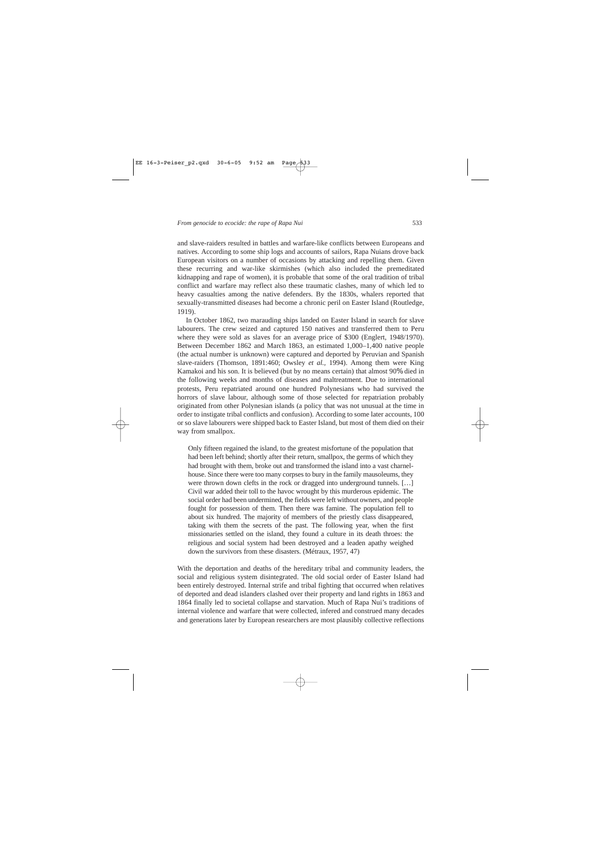and slave-raiders resulted in battles and warfare-like conflicts between Europeans and natives. According to some ship logs and accounts of sailors, Rapa Nuians drove back European visitors on a number of occasions by attacking and repelling them. Given these recurring and war-like skirmishes (which also included the premeditated kidnapping and rape of women), it is probable that some of the oral tradition of tribal conflict and warfare may reflect also these traumatic clashes, many of which led to heavy casualties among the native defenders. By the 1830s, whalers reported that sexually-transmitted diseases had become a chronic peril on Easter Island (Routledge, 1919).

In October 1862, two marauding ships landed on Easter Island in search for slave labourers. The crew seized and captured 150 natives and transferred them to Peru where they were sold as slaves for an average price of \$300 (Englert, 1948/1970). Between December 1862 and March 1863, an estimated 1,000–1,400 native people (the actual number is unknown) were captured and deported by Peruvian and Spanish slave-raiders (Thomson, 1891:460; Owsley *et al.,* 1994). Among them were King Kamakoi and his son. It is believed (but by no means certain) that almost 90% died in the following weeks and months of diseases and maltreatment. Due to international protests, Peru repatriated around one hundred Polynesians who had survived the horrors of slave labour, although some of those selected for repatriation probably originated from other Polynesian islands (a policy that was not unusual at the time in order to instigate tribal conflicts and confusion). According to some later accounts, 100 or so slave labourers were shipped back to Easter Island, but most of them died on their way from smallpox.

Only fifteen regained the island, to the greatest misfortune of the population that had been left behind; shortly after their return, smallpox, the germs of which they had brought with them, broke out and transformed the island into a vast charnelhouse. Since there were too many corpses to bury in the family mausoleums, they were thrown down clefts in the rock or dragged into underground tunnels. […] Civil war added their toll to the havoc wrought by this murderous epidemic. The social order had been undermined, the fields were left without owners, and people fought for possession of them. Then there was famine. The population fell to about six hundred. The majority of members of the priestly class disappeared, taking with them the secrets of the past. The following year, when the first missionaries settled on the island, they found a culture in its death throes: the religious and social system had been destroyed and a leaden apathy weighed down the survivors from these disasters. (Métraux, 1957, 47)

With the deportation and deaths of the hereditary tribal and community leaders, the social and religious system disintegrated. The old social order of Easter Island had been entirely destroyed. Internal strife and tribal fighting that occurred when relatives of deported and dead islanders clashed over their property and land rights in 1863 and 1864 finally led to societal collapse and starvation. Much of Rapa Nui's traditions of internal violence and warfare that were collected, infered and construed many decades and generations later by European researchers are most plausibly collective reflections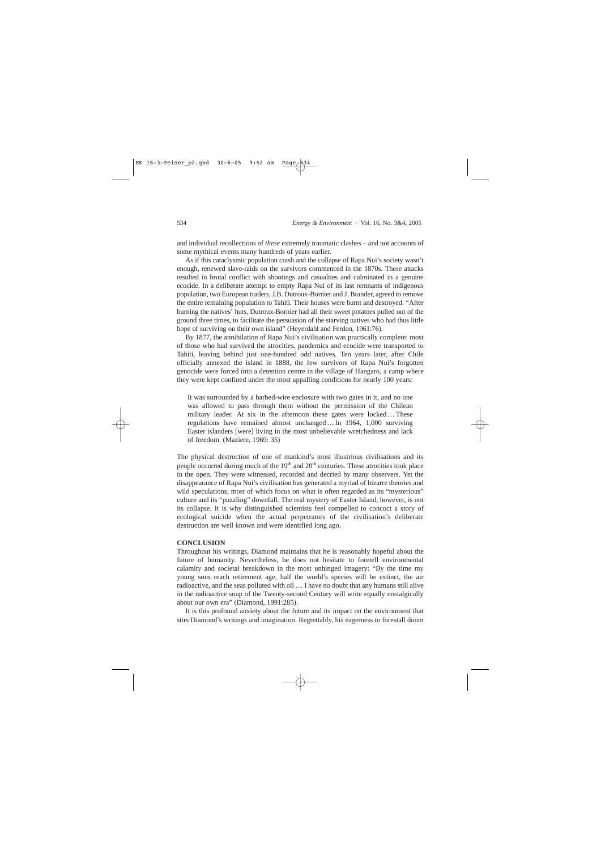and individual recollections of *these* extremely traumatic clashes – and not accounts of some mythical events many hundreds of years earlier.

As if this cataclysmic population crash and the collapse of Rapa Nui's society wasn't enough, renewed slave-raids on the survivors commenced in the 1870s. These attacks resulted in brutal conflict with shootings and casualties and culminated in a genuine ecocide. In a deliberate attempt to empty Rapa Nui of its last remnants of indigenous population, two European traders, J.B. Dutroux-Bornier and J. Brander, agreed to remove the entire remaining population to Tahiti. Their houses were burnt and destroyed. "After burning the natives' huts, Dutroux-Bornier had all their sweet potatoes pulled out of the ground three times, to facilitate the persuasion of the starving natives who had thus little hope of surviving on their own island" (Heyerdahl and Ferdon, 1961:76).

By 1877, the annihilation of Rapa Nui's civilisation was practically complete: most of those who had survived the atrocities, pandemics and ecocide were transported to Tahiti, leaving behind just one-hundred odd natives. Ten years later, after Chile officially annexed the island in 1888, the few survivors of Rapa Nui's forgotten genocide were forced into a detention centre in the village of Hangaro, a camp where they were kept confined under the most appalling conditions for nearly 100 years:

It was surrounded by a barbed-wire enclosure with two gates in it, and no one was allowed to pass through them without the permission of the Chilean military leader. At six in the afternoon these gates were locked…These regulations have remained almost unchanged…In 1964, 1,000 surviving Easter islanders [were] living in the most unbelievable wretchedness and lack of freedom. (Maziere, 1969: 35)

The physical destruction of one of mankind's most illustrious civilisations and its people occurred during much of the  $19<sup>th</sup>$  and  $20<sup>th</sup>$  centuries. These atrocities took place in the open. They were witnessed, recorded and decried by many observers. Yet the disappearance of Rapa Nui's civilisation has generated a myriad of bizarre theories and wild speculations, most of which focus on what is often regarded as its "mysterious" culture and its "puzzling" downfall. The real mystery of Easter Island, however, is not its collapse. It is why distinguished scientists feel compelled to concoct a story of ecological suicide when the actual perpetrators of the civilisation's deliberate destruction are well known and were identified long ago.

# **CONCLUSION**

Throughout his writings, Diamond maintains that he is reasonably hopeful about the future of humanity. Nevertheless, he does not hesitate to foretell environmental calamity and societal breakdown in the most unhinged imagery: "By the time my young sons reach retirement age, half the world's species will be extinct, the air radioactive, and the seas polluted with oil … I have no doubt that any humans still alive in the radioactive soup of the Twenty-second Century will write equally nostalgically about our own era" (Diamond, 1991:285).

It is this profound anxiety about the future and its impact on the environment that stirs Diamond's writings and imagination. Regrettably, his eagerness to forestall doom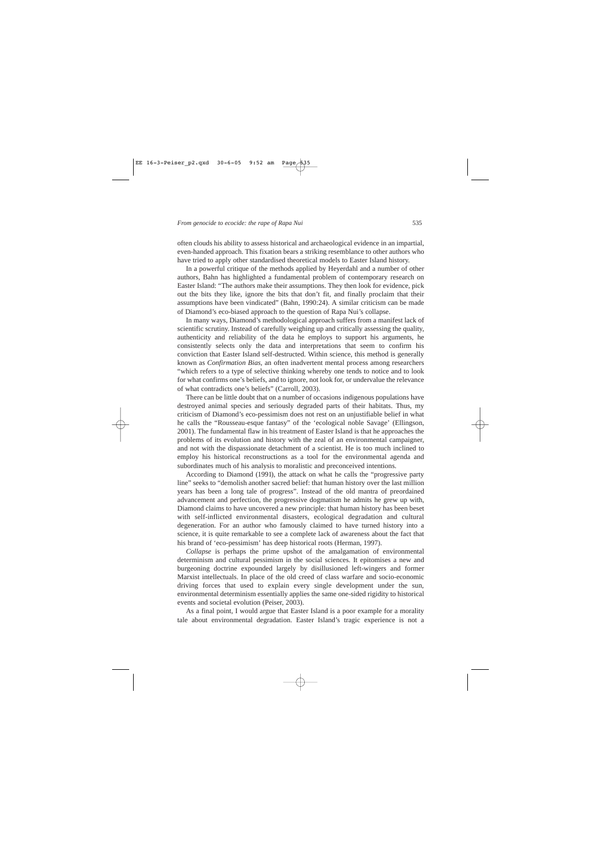often clouds his ability to assess historical and archaeological evidence in an impartial, even-handed approach. This fixation bears a striking resemblance to other authors who have tried to apply other standardised theoretical models to Easter Island history.

In a powerful critique of the methods applied by Heyerdahl and a number of other authors, Bahn has highlighted a fundamental problem of contemporary research on Easter Island: "The authors make their assumptions. They then look for evidence, pick out the bits they like, ignore the bits that don't fit, and finally proclaim that their assumptions have been vindicated" (Bahn, 1990:24). A similar criticism can be made of Diamond's eco-biased approach to the question of Rapa Nui's collapse.

In many ways, Diamond's methodological approach suffers from a manifest lack of scientific scrutiny. Instead of carefully weighing up and critically assessing the quality, authenticity and reliability of the data he employs to support his arguments, he consistently selects only the data and interpretations that seem to confirm his conviction that Easter Island self-destructed. Within science, this method is generally known as *Confirmation Bias,* an often inadvertent mental process among researchers "which refers to a type of selective thinking whereby one tends to notice and to look for what confirms one's beliefs, and to ignore, not look for, or undervalue the relevance of what contradicts one's beliefs" (Carroll, 2003).

There can be little doubt that on a number of occasions indigenous populations have destroyed animal species and seriously degraded parts of their habitats. Thus, my criticism of Diamond's eco-pessimism does not rest on an unjustifiable belief in what he calls the "Rousseau-esque fantasy" of the 'ecological noble Savage' (Ellingson, 2001). The fundamental flaw in his treatment of Easter Island is that he approaches the problems of its evolution and history with the zeal of an environmental campaigner, and not with the dispassionate detachment of a scientist. He is too much inclined to employ his historical reconstructions as a tool for the environmental agenda and subordinates much of his analysis to moralistic and preconceived intentions.

According to Diamond (1991), the attack on what he calls the "progressive party line" seeks to "demolish another sacred belief: that human history over the last million years has been a long tale of progress". Instead of the old mantra of preordained advancement and perfection, the progressive dogmatism he admits he grew up with, Diamond claims to have uncovered a new principle: that human history has been beset with self-inflicted environmental disasters, ecological degradation and cultural degeneration. For an author who famously claimed to have turned history into a science, it is quite remarkable to see a complete lack of awareness about the fact that his brand of 'eco-pessimism' has deep historical roots (Herman, 1997).

*Collapse* is perhaps the prime upshot of the amalgamation of environmental determinism and cultural pessimism in the social sciences. It epitomises a new and burgeoning doctrine expounded largely by disillusioned left-wingers and former Marxist intellectuals. In place of the old creed of class warfare and socio-economic driving forces that used to explain every single development under the sun, environmental determinism essentially applies the same one-sided rigidity to historical events and societal evolution (Peiser, 2003).

As a final point, I would argue that Easter Island is a poor example for a morality tale about environmental degradation. Easter Island's tragic experience is not a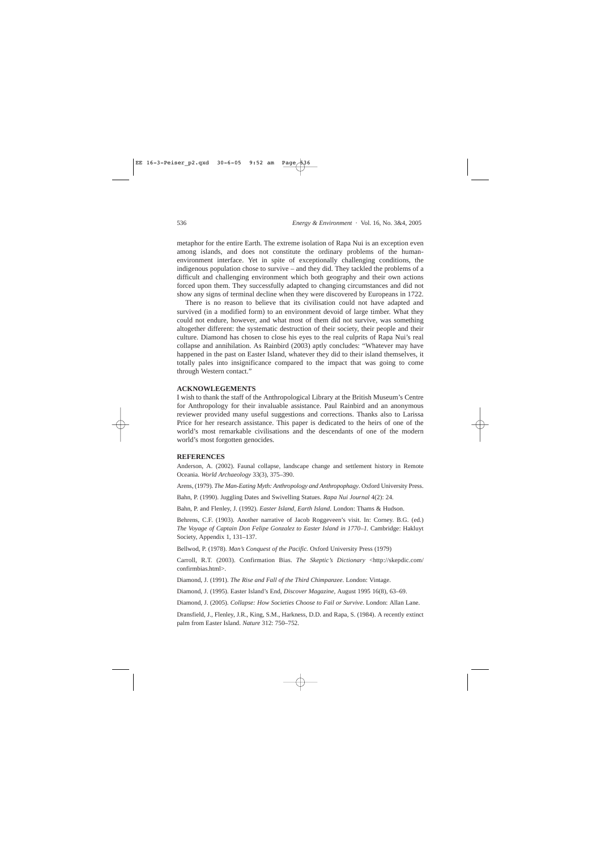metaphor for the entire Earth. The extreme isolation of Rapa Nui is an exception even among islands, and does not constitute the ordinary problems of the humanenvironment interface. Yet in spite of exceptionally challenging conditions, the indigenous population chose to survive – and they did. They tackled the problems of a difficult and challenging environment which both geography and their own actions forced upon them. They successfully adapted to changing circumstances and did not show any signs of terminal decline when they were discovered by Europeans in 1722.

There is no reason to believe that its civilisation could not have adapted and survived (in a modified form) to an environment devoid of large timber. What they could not endure, however, and what most of them did not survive, was something altogether different: the systematic destruction of their society, their people and their culture. Diamond has chosen to close his eyes to the real culprits of Rapa Nui's real collapse and annihilation. As Rainbird (2003) aptly concludes: "Whatever may have happened in the past on Easter Island, whatever they did to their island themselves, it totally pales into insignificance compared to the impact that was going to come through Western contact."

# **ACKNOWLEGEMENTS**

I wish to thank the staff of the Anthropological Library at the British Museum's Centre for Anthropology for their invaluable assistance. Paul Rainbird and an anonymous reviewer provided many useful suggestions and corrections. Thanks also to Larissa Price for her research assistance. This paper is dedicated to the heirs of one of the world's most remarkable civilisations and the descendants of one of the modern world's most forgotten genocides.

### **REFERENCES**

Anderson, A. (2002). Faunal collapse, landscape change and settlement history in Remote Oceania. *World Archaeology* 33(3), 375–390.

Arens, (1979). *The Man-Eating Myth: Anthropology and Anthropophagy*. Oxford University Press.

Bahn, P. (1990). Juggling Dates and Swivelling Statues. *Rapa Nui Journal* 4(2): 24.

Bahn, P. and Flenley, J. (1992). *Easter Island, Earth Island*. London: Thams & Hudson.

Behrens, C.F. (1903). Another narrative of Jacob Roggeveen's visit. In: Corney. B.G. (ed.) *The Voyage of Captain Don Felipe Gonzalez to Easter Island in 1770–1.* Cambridge: Hakluyt Society, Appendix 1, 131–137.

Bellwod, P. (1978). *Man's Conquest of the Pacific.* Oxford University Press (1979)

Carroll, R.T. (2003). Confirmation Bias. *The Skeptic's Dictionary* <http://skepdic.com/ confirmbias.html>.

Diamond, J. (1991). *The Rise and Fall of the Third Chimpanzee*. London: Vintage.

Diamond, J. (1995). Easter Island's End, *Discover Magazine,* August 1995 16(8), 63–69.

Diamond, J. (2005). *Collapse: How Societies Choose to Fail or Survive*. London: Allan Lane.

Dransfield, J., Flenley, J.R., King, S.M., Harkness, D.D. and Rapa, S. (1984). A recently extinct palm from Easter Island. *Nature* 312: 750–752.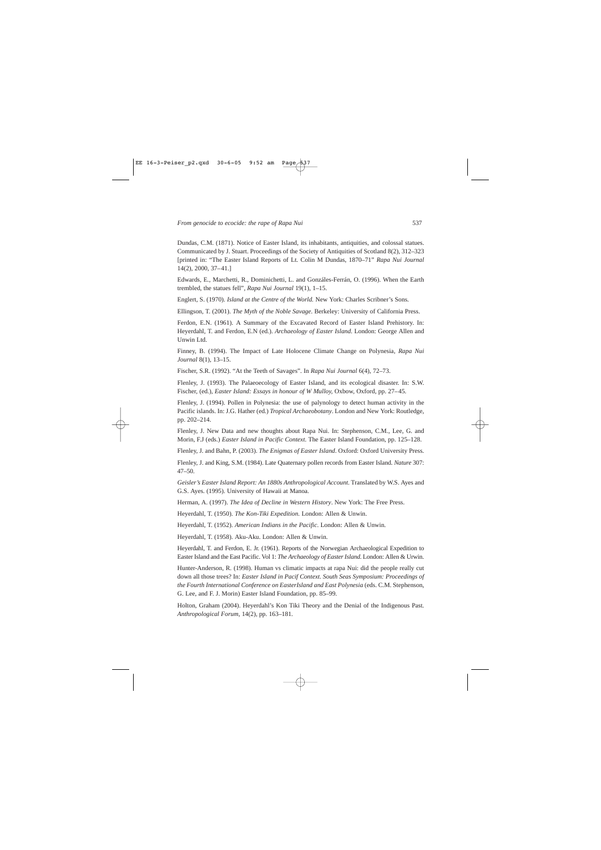Dundas, C.M. (1871). Notice of Easter Island, its inhabitants, antiquities, and colossal statues. Communicated by J. Stuart. Proceedings of the Society of Antiquities of Scotland 8(2), 312–323 [printed in: "The Easter Island Reports of Lt. Colin M Dundas, 1870–71" *Rapa Nui Journal* 14(2), 2000, 37–41.]

Edwards, E., Marchetti, R., Dominichetti, L. and Gonzáles-Ferrán, O. (1996). When the Earth trembled, the statues fell", *Rapa Nui Journal* 19(1), 1–15.

Englert, S. (1970). *Island at the Centre of the World.* New York: Charles Scribner's Sons.

Ellingson, T. (2001). *The Myth of the Noble Savage*. Berkeley: University of California Press.

Ferdon, E.N. (1961). A Summary of the Excavated Record of Easter Island Prehistory. In: Heyerdahl, T. and Ferdon, E.N (ed.). *Archaeology of Easter Island*. London: George Allen and Unwin Ltd.

Finney, B. (1994). The Impact of Late Holocene Climate Change on Polynesia, *Rapa Nui Journal* 8(1), 13–15.

Fischer, S.R. (1992). "At the Teeth of Savages". In *Rapa Nui Journal* 6(4), 72–73.

Flenley, J. (1993). The Palaeoecology of Easter Island, and its ecological disaster. In: S.W. Fischer, (ed.), *Easter Island: Essays in honour of W Mulloy,* Oxbow, Oxford, pp. 27–45.

Flenley, J. (1994). Pollen in Polynesia: the use of palynology to detect human activity in the Pacific islands. In: J.G. Hather (ed.) *Tropical Archaeobotany*. London and New York: Routledge, pp. 202–214.

Flenley, J. New Data and new thoughts about Rapa Nui. In: Stephenson, C.M., Lee, G. and Morin, F.J (eds.) *Easter Island in Pacific Context*. The Easter Island Foundation, pp. 125–128.

Flenley, J. and Bahn, P. (2003). *The Enigmas of Easter Island*. Oxford: Oxford University Press.

Flenley, J. and King, S.M. (1984). Late Quaternary pollen records from Easter Island. *Nature* 307: 47–50.

*Geisler's Easter Island Report: An 1880s Anthropological Account*. Translated by W.S. Ayes and G.S. Ayes. (1995). University of Hawaii at Manoa.

Herman, A. (1997). *The Idea of Decline in Western History*. New York: The Free Press.

Heyerdahl, T. (1950). *The Kon-Tiki Expedition.* London: Allen & Unwin.

Heyerdahl, T. (1952). *American Indians in the Pacific*. London: Allen & Unwin.

Heyerdahl, T. (1958). Aku-Aku. London: Allen & Unwin.

Heyerdahl, T. and Ferdon, E. Jr. (1961). Reports of the Norwegian Archaeological Expedition to Easter Island and the East Pacific. Vol 1: *The Archaeology of Easter Island*. London: Allen & Urwin.

Hunter-Anderson, R. (1998). Human vs climatic impacts at rapa Nui: did the people really cut down all those trees? In: *Easter Island in Pacif Context. South Seas Symposium: Proceedings of the Fourth International Conference on EasterIsland and East Polynesia* (eds. C.M. Stephenson, G. Lee, and F. J. Morin) Easter Island Foundation, pp. 85–99.

Holton, Graham (2004). Heyerdahl's Kon Tiki Theory and the Denial of the Indigenous Past. *Anthropological Forum*, 14(2), pp. 163–181.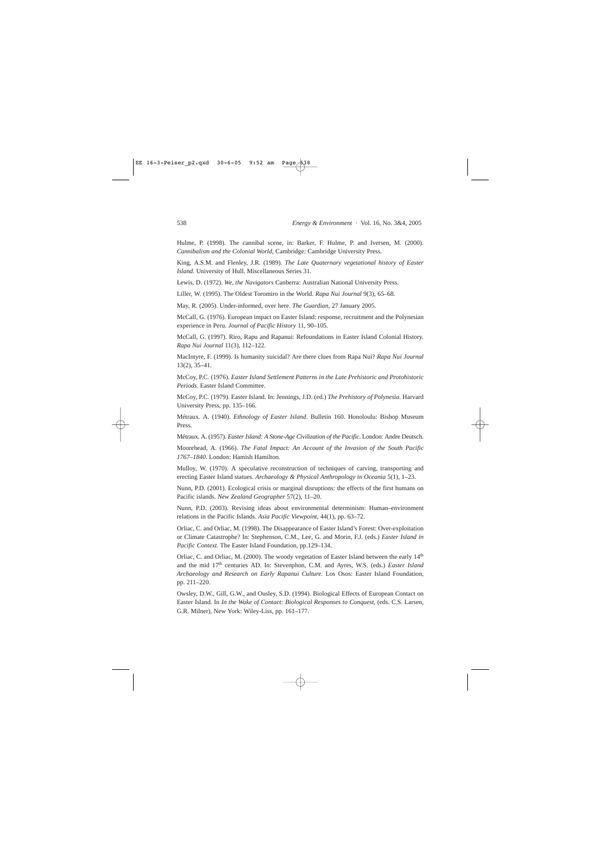Hulme, P. (1998). The cannibal scene, in: Barker, F. Hulme, P. and Iversen, M. (2000). *Cannibalism and the Colonial World*, Cambridge: Cambridge University Press.

King, A.S.M. and Flenley, J.R. (1989). *The Late Quaternary vegetational history of Easter Island*. University of Hull. Miscellaneous Series 31.

Lewis, D. (1972). *We, the Navigators* Canberra: Australian National University Press.

Liller, W. (1995). The Oldest Toromiro in the World. *Rapa Nui Journal* 9(3), 65–68.

May, R. (2005). Under-informed, over here. *The Guardian*, 27 January 2005.

McCall, G. (1976). European impact on Easter Island: response, recruitment and the Polynesian experience in Peru. *Journal of Pacific History* 11, 90–105.

McCall, G. (1997). Riro, Rapu and Rapanui: Refoundations in Easter Island Colonial History. *Rapa Nui Journal* 11(3), 112–122.

MacIntyre, F. (1999). Is humanity suicidal? Are there clues from Rapa Nui? *Rapa Nui Journal* 13(2), 35–41.

McCoy, P.C. (1976). *Easter Island Settlement Patterns in the Late Prehistoric and Protohistoric Periods*. Easter Island Committee.

McCoy, P.C. (1979). Easter Island. In: Jennings, J.D. (ed.) *The Prehistory of Polynesia.* Harvard University Press, pp. 135–166.

Métraux. A. (1940). *Ethnology of Easter Island*. Bulletin 160. Honoloulu: Bishop Museum Press.

Métraux. A. (1957). *Easter Island: A Stone-Age Civilization of the Pacific*. London: Andre Deutsch.

Moorehead, A. (1966). *The Fatal Impact: An Account of the Invasion of the South Pacific 1767–1840*. London: Hamish Hamilton.

Mulloy, W. (1970). A speculative reconstruction of techniques of carving, transporting and erecting Easter Island statues. *Archaeology & Physical Anthropology in Oceania* 5(1), 1–23.

Nunn, P.D. (2001). Ecological crisis or marginal disruptions: the effects of the first humans on Pacific islands. *New Zealand Geographer* 57(2), 11–20.

Nunn, P.D. (2003). Revising ideas about environmental determinism: Human–environment relations in the Pacific Islands. *Asia Pacific Viewpoint*, 44(1), pp. 63–72.

Orliac, C. and Orliac, M. (1998). The Disappearance of Easter Island's Forest: Over-exploitation or Climate Catastrophe? In: Stephenson, C.M., Lee, G. and Morin, F.J. (eds.) *Easter Island in Pacific Context*. The Easter Island Foundation, pp.129–134.

Orliac, C. and Orliac, M. (2000). The woody vegetation of Easter Island between the early  $14<sup>th</sup>$ and the mid 17th centuries AD. In: Stevenphon, C.M. and Ayres, W.S. (eds.) *Easter Island Archaeology and Research on Early Rapanui Culture.* Los Osos: Easter Island Foundation, pp. 211–220.

Owsley, D.W., Gill, G.W., and Ousley, S.D. (1994). Biological Effects of European Contact on Easter Island. In *In the Wake of Contact: Biological Responses to Conquest*, (eds. C.S. Larsen, G.R. Milner), New York: Wiley-Liss, pp. 161–177.